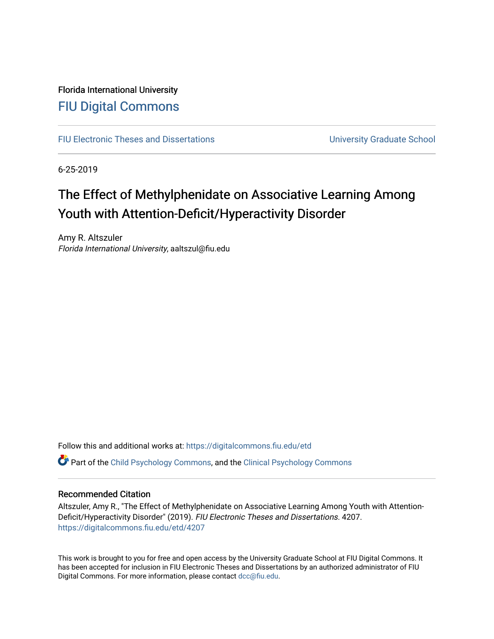# Florida International University [FIU Digital Commons](https://digitalcommons.fiu.edu/)

[FIU Electronic Theses and Dissertations](https://digitalcommons.fiu.edu/etd) **EXECUTE:** University Graduate School

6-25-2019

# The Effect of Methylphenidate on Associative Learning Among Youth with Attention-Deficit/Hyperactivity Disorder

Amy R. Altszuler Florida International University, aaltszul@fiu.edu

Follow this and additional works at: [https://digitalcommons.fiu.edu/etd](https://digitalcommons.fiu.edu/etd?utm_source=digitalcommons.fiu.edu%2Fetd%2F4207&utm_medium=PDF&utm_campaign=PDFCoverPages)

**C** Part of the [Child Psychology Commons,](http://network.bepress.com/hgg/discipline/1023?utm_source=digitalcommons.fiu.edu%2Fetd%2F4207&utm_medium=PDF&utm_campaign=PDFCoverPages) and the [Clinical Psychology Commons](http://network.bepress.com/hgg/discipline/406?utm_source=digitalcommons.fiu.edu%2Fetd%2F4207&utm_medium=PDF&utm_campaign=PDFCoverPages)

# Recommended Citation

Altszuler, Amy R., "The Effect of Methylphenidate on Associative Learning Among Youth with Attention-Deficit/Hyperactivity Disorder" (2019). FIU Electronic Theses and Dissertations. 4207. [https://digitalcommons.fiu.edu/etd/4207](https://digitalcommons.fiu.edu/etd/4207?utm_source=digitalcommons.fiu.edu%2Fetd%2F4207&utm_medium=PDF&utm_campaign=PDFCoverPages) 

This work is brought to you for free and open access by the University Graduate School at FIU Digital Commons. It has been accepted for inclusion in FIU Electronic Theses and Dissertations by an authorized administrator of FIU Digital Commons. For more information, please contact [dcc@fiu.edu](mailto:dcc@fiu.edu).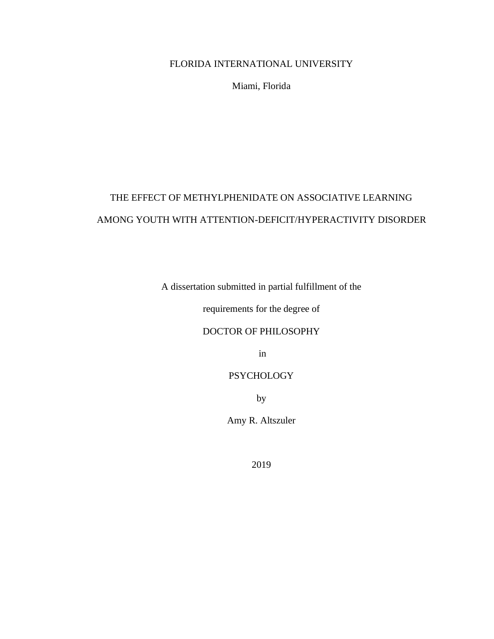# FLORIDA INTERNATIONAL UNIVERSITY

Miami, Florida

# THE EFFECT OF METHYLPHENIDATE ON ASSOCIATIVE LEARNING AMONG YOUTH WITH ATTENTION-DEFICIT/HYPERACTIVITY DISORDER

A dissertation submitted in partial fulfillment of the

requirements for the degree of

# DOCTOR OF PHILOSOPHY

in

# **PSYCHOLOGY**

by

Amy R. Altszuler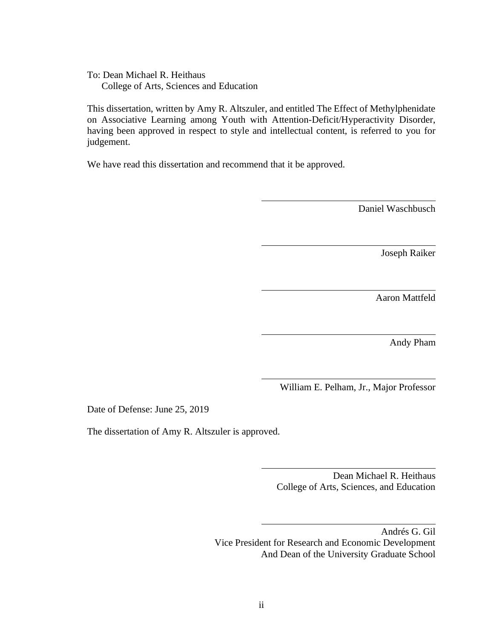To: Dean Michael R. Heithaus College of Arts, Sciences and Education

This dissertation, written by Amy R. Altszuler, and entitled The Effect of Methylphenidate on Associative Learning among Youth with Attention-Deficit/Hyperactivity Disorder, having been approved in respect to style and intellectual content, is referred to you for judgement.

We have read this dissertation and recommend that it be approved.

Daniel Waschbusch

Joseph Raiker

Aaron Mattfeld

Andy Pham

William E. Pelham, Jr., Major Professor

Date of Defense: June 25, 2019

The dissertation of Amy R. Altszuler is approved.

Dean Michael R. Heithaus College of Arts, Sciences, and Education

Andrés G. Gil Vice President for Research and Economic Development And Dean of the University Graduate School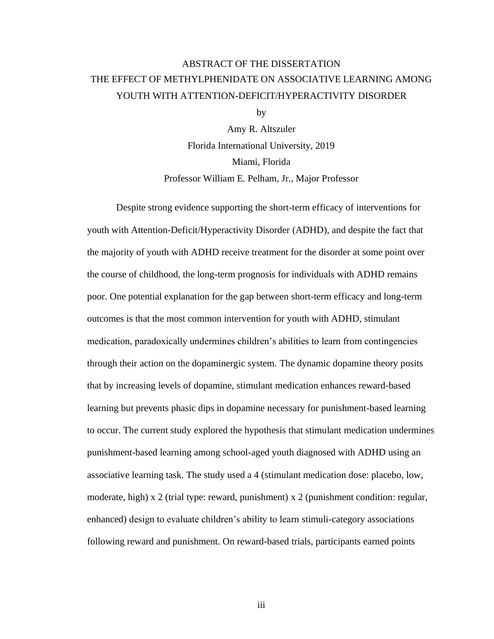# ABSTRACT OF THE DISSERTATION THE EFFECT OF METHYLPHENIDATE ON ASSOCIATIVE LEARNING AMONG YOUTH WITH ATTENTION-DEFICIT/HYPERACTIVITY DISORDER

by

Amy R. Altszuler Florida International University, 2019 Miami, Florida Professor William E. Pelham, Jr., Major Professor

Despite strong evidence supporting the short-term efficacy of interventions for youth with Attention-Deficit/Hyperactivity Disorder (ADHD), and despite the fact that the majority of youth with ADHD receive treatment for the disorder at some point over the course of childhood, the long-term prognosis for individuals with ADHD remains poor. One potential explanation for the gap between short-term efficacy and long-term outcomes is that the most common intervention for youth with ADHD, stimulant medication, paradoxically undermines children's abilities to learn from contingencies through their action on the dopaminergic system. The dynamic dopamine theory posits that by increasing levels of dopamine, stimulant medication enhances reward-based learning but prevents phasic dips in dopamine necessary for punishment-based learning to occur. The current study explored the hypothesis that stimulant medication undermines punishment-based learning among school-aged youth diagnosed with ADHD using an associative learning task. The study used a 4 (stimulant medication dose: placebo, low, moderate, high)  $x$  2 (trial type: reward, punishment)  $x$  2 (punishment condition: regular, enhanced) design to evaluate children's ability to learn stimuli-category associations following reward and punishment. On reward-based trials, participants earned points

iii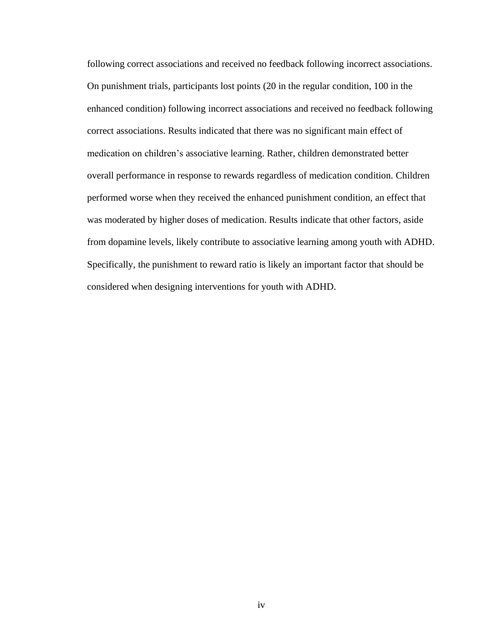following correct associations and received no feedback following incorrect associations. On punishment trials, participants lost points (20 in the regular condition, 100 in the enhanced condition) following incorrect associations and received no feedback following correct associations. Results indicated that there was no significant main effect of medication on children's associative learning. Rather, children demonstrated better overall performance in response to rewards regardless of medication condition. Children performed worse when they received the enhanced punishment condition, an effect that was moderated by higher doses of medication. Results indicate that other factors, aside from dopamine levels, likely contribute to associative learning among youth with ADHD. Specifically, the punishment to reward ratio is likely an important factor that should be considered when designing interventions for youth with ADHD.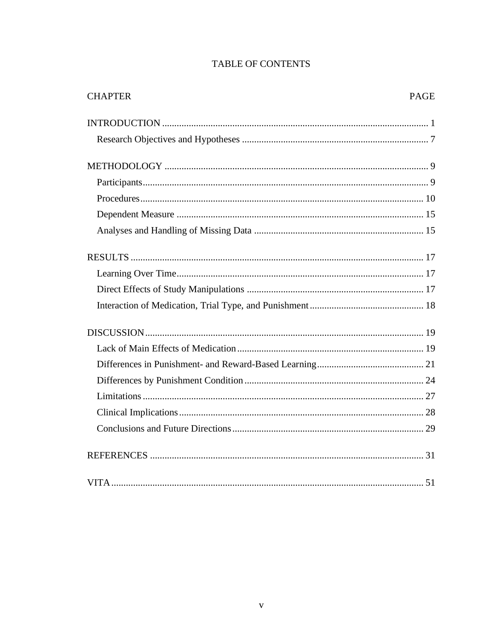| <b>TABLE OF CONTENTS</b> |  |
|--------------------------|--|
|--------------------------|--|

| <b>CHAPTER</b> | <b>PAGE</b> |
|----------------|-------------|
|                |             |
|                |             |
|                |             |
|                |             |
|                |             |
|                |             |
|                |             |
|                |             |
|                |             |
|                |             |
|                |             |
|                |             |
|                |             |
|                |             |
|                |             |
|                |             |
|                |             |
|                |             |
|                |             |
|                |             |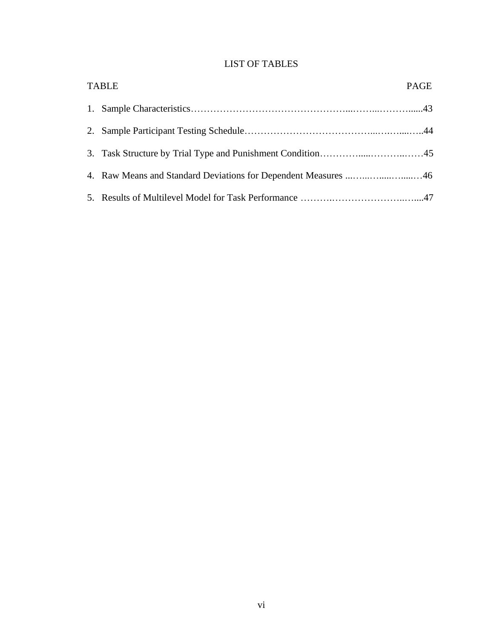# LIST OF TABLES

| <b>TABLE</b>                                                   | PAGE |
|----------------------------------------------------------------|------|
|                                                                |      |
|                                                                |      |
|                                                                |      |
| 4. Raw Means and Standard Deviations for Dependent Measures 46 |      |
|                                                                |      |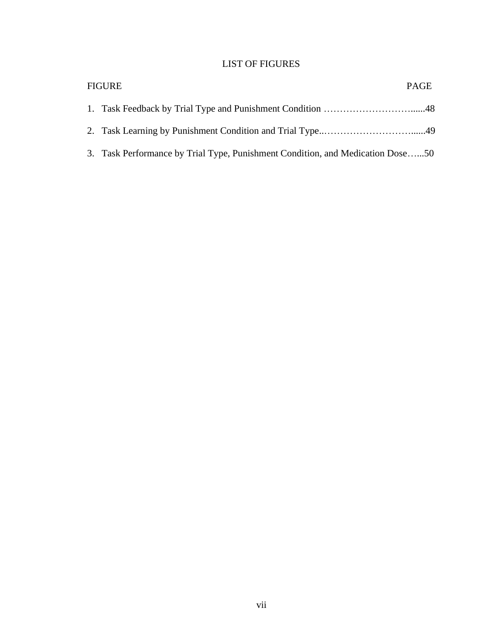# LIST OF FIGURES

| <b>FIGURE</b>                                                                  | PAGE |
|--------------------------------------------------------------------------------|------|
|                                                                                |      |
|                                                                                |      |
| 3. Task Performance by Trial Type, Punishment Condition, and Medication Dose50 |      |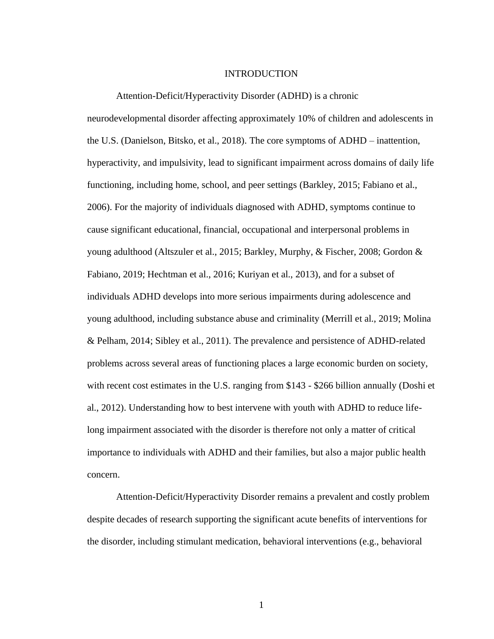# INTRODUCTION

<span id="page-8-0"></span>Attention-Deficit/Hyperactivity Disorder (ADHD) is a chronic neurodevelopmental disorder affecting approximately 10% of children and adolescents in the U.S. (Danielson, Bitsko, et al., 2018). The core symptoms of ADHD – inattention, hyperactivity, and impulsivity, lead to significant impairment across domains of daily life functioning, including home, school, and peer settings (Barkley, 2015; Fabiano et al., 2006). For the majority of individuals diagnosed with ADHD, symptoms continue to cause significant educational, financial, occupational and interpersonal problems in young adulthood (Altszuler et al., 2015; Barkley, Murphy, & Fischer, 2008; Gordon & Fabiano, 2019; Hechtman et al., 2016; Kuriyan et al., 2013), and for a subset of individuals ADHD develops into more serious impairments during adolescence and young adulthood, including substance abuse and criminality (Merrill et al., 2019; Molina & Pelham, 2014; Sibley et al., 2011). The prevalence and persistence of ADHD-related problems across several areas of functioning places a large economic burden on society, with recent cost estimates in the U.S. ranging from \$143 - \$266 billion annually (Doshi et al., 2012). Understanding how to best intervene with youth with ADHD to reduce lifelong impairment associated with the disorder is therefore not only a matter of critical importance to individuals with ADHD and their families, but also a major public health concern.

Attention-Deficit/Hyperactivity Disorder remains a prevalent and costly problem despite decades of research supporting the significant acute benefits of interventions for the disorder, including stimulant medication, behavioral interventions (e.g., behavioral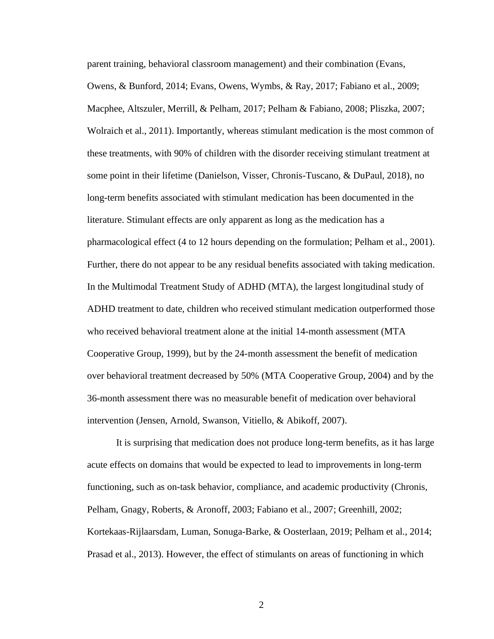parent training, behavioral classroom management) and their combination (Evans, Owens, & Bunford, 2014; Evans, Owens, Wymbs, & Ray, 2017; Fabiano et al., 2009; Macphee, Altszuler, Merrill, & Pelham, 2017; Pelham & Fabiano, 2008; Pliszka, 2007; Wolraich et al., 2011). Importantly, whereas stimulant medication is the most common of these treatments, with 90% of children with the disorder receiving stimulant treatment at some point in their lifetime (Danielson, Visser, Chronis-Tuscano, & DuPaul, 2018), no long-term benefits associated with stimulant medication has been documented in the literature. Stimulant effects are only apparent as long as the medication has a pharmacological effect (4 to 12 hours depending on the formulation; Pelham et al., 2001). Further, there do not appear to be any residual benefits associated with taking medication. In the Multimodal Treatment Study of ADHD (MTA), the largest longitudinal study of ADHD treatment to date, children who received stimulant medication outperformed those who received behavioral treatment alone at the initial 14-month assessment (MTA Cooperative Group, 1999), but by the 24-month assessment the benefit of medication over behavioral treatment decreased by 50% (MTA Cooperative Group, 2004) and by the 36-month assessment there was no measurable benefit of medication over behavioral intervention (Jensen, Arnold, Swanson, Vitiello, & Abikoff, 2007).

It is surprising that medication does not produce long-term benefits, as it has large acute effects on domains that would be expected to lead to improvements in long-term functioning, such as on-task behavior, compliance, and academic productivity (Chronis, Pelham, Gnagy, Roberts, & Aronoff, 2003; Fabiano et al., 2007; Greenhill, 2002; Kortekaas-Rijlaarsdam, Luman, Sonuga-Barke, & Oosterlaan, 2019; Pelham et al., 2014; Prasad et al., 2013). However, the effect of stimulants on areas of functioning in which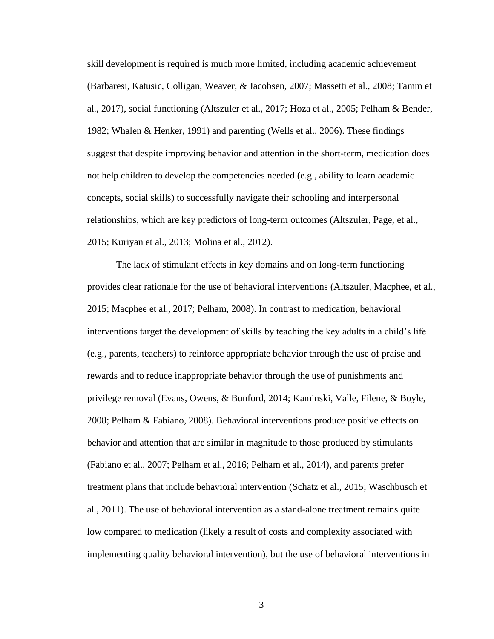skill development is required is much more limited, including academic achievement (Barbaresi, Katusic, Colligan, Weaver, & Jacobsen, 2007; Massetti et al., 2008; Tamm et al., 2017), social functioning (Altszuler et al., 2017; Hoza et al., 2005; Pelham & Bender, 1982; Whalen & Henker, 1991) and parenting (Wells et al., 2006). These findings suggest that despite improving behavior and attention in the short-term, medication does not help children to develop the competencies needed (e.g., ability to learn academic concepts, social skills) to successfully navigate their schooling and interpersonal relationships, which are key predictors of long-term outcomes (Altszuler, Page, et al., 2015; Kuriyan et al., 2013; Molina et al., 2012).

The lack of stimulant effects in key domains and on long-term functioning provides clear rationale for the use of behavioral interventions (Altszuler, Macphee, et al., 2015; Macphee et al., 2017; Pelham, 2008). In contrast to medication, behavioral interventions target the development of skills by teaching the key adults in a child's life (e.g., parents, teachers) to reinforce appropriate behavior through the use of praise and rewards and to reduce inappropriate behavior through the use of punishments and privilege removal (Evans, Owens, & Bunford, 2014; Kaminski, Valle, Filene, & Boyle, 2008; Pelham & Fabiano, 2008). Behavioral interventions produce positive effects on behavior and attention that are similar in magnitude to those produced by stimulants (Fabiano et al., 2007; Pelham et al., 2016; Pelham et al., 2014), and parents prefer treatment plans that include behavioral intervention (Schatz et al., 2015; Waschbusch et al., 2011). The use of behavioral intervention as a stand-alone treatment remains quite low compared to medication (likely a result of costs and complexity associated with implementing quality behavioral intervention), but the use of behavioral interventions in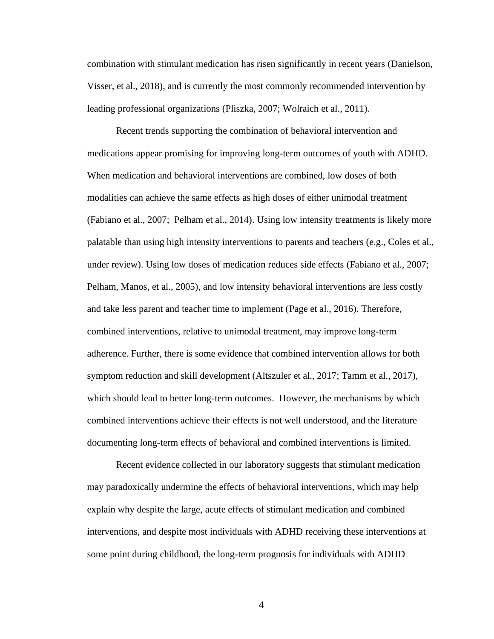combination with stimulant medication has risen significantly in recent years (Danielson, Visser, et al., 2018), and is currently the most commonly recommended intervention by leading professional organizations (Pliszka, 2007; Wolraich et al., 2011).

Recent trends supporting the combination of behavioral intervention and medications appear promising for improving long-term outcomes of youth with ADHD. When medication and behavioral interventions are combined, low doses of both modalities can achieve the same effects as high doses of either unimodal treatment (Fabiano et al., 2007; Pelham et al., 2014). Using low intensity treatments is likely more palatable than using high intensity interventions to parents and teachers (e.g., Coles et al., under review). Using low doses of medication reduces side effects (Fabiano et al., 2007; Pelham, Manos, et al., 2005), and low intensity behavioral interventions are less costly and take less parent and teacher time to implement (Page et al., 2016). Therefore, combined interventions, relative to unimodal treatment, may improve long-term adherence. Further, there is some evidence that combined intervention allows for both symptom reduction and skill development (Altszuler et al., 2017; Tamm et al., 2017), which should lead to better long-term outcomes. However, the mechanisms by which combined interventions achieve their effects is not well understood, and the literature documenting long-term effects of behavioral and combined interventions is limited.

Recent evidence collected in our laboratory suggests that stimulant medication may paradoxically undermine the effects of behavioral interventions, which may help explain why despite the large, acute effects of stimulant medication and combined interventions, and despite most individuals with ADHD receiving these interventions at some point during childhood, the long-term prognosis for individuals with ADHD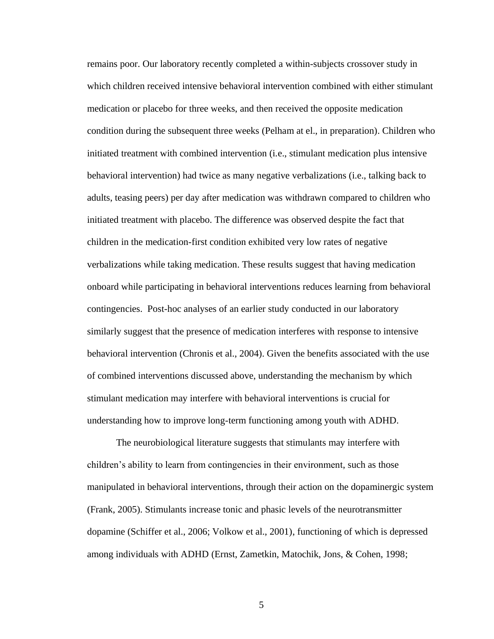remains poor. Our laboratory recently completed a within-subjects crossover study in which children received intensive behavioral intervention combined with either stimulant medication or placebo for three weeks, and then received the opposite medication condition during the subsequent three weeks (Pelham at el., in preparation). Children who initiated treatment with combined intervention (i.e., stimulant medication plus intensive behavioral intervention) had twice as many negative verbalizations (i.e., talking back to adults, teasing peers) per day after medication was withdrawn compared to children who initiated treatment with placebo. The difference was observed despite the fact that children in the medication-first condition exhibited very low rates of negative verbalizations while taking medication. These results suggest that having medication onboard while participating in behavioral interventions reduces learning from behavioral contingencies. Post-hoc analyses of an earlier study conducted in our laboratory similarly suggest that the presence of medication interferes with response to intensive behavioral intervention (Chronis et al., 2004). Given the benefits associated with the use of combined interventions discussed above, understanding the mechanism by which stimulant medication may interfere with behavioral interventions is crucial for understanding how to improve long-term functioning among youth with ADHD.

The neurobiological literature suggests that stimulants may interfere with children's ability to learn from contingencies in their environment, such as those manipulated in behavioral interventions, through their action on the dopaminergic system (Frank, 2005). Stimulants increase tonic and phasic levels of the neurotransmitter dopamine (Schiffer et al., 2006; Volkow et al., 2001), functioning of which is depressed among individuals with ADHD (Ernst, Zametkin, Matochik, Jons, & Cohen, 1998;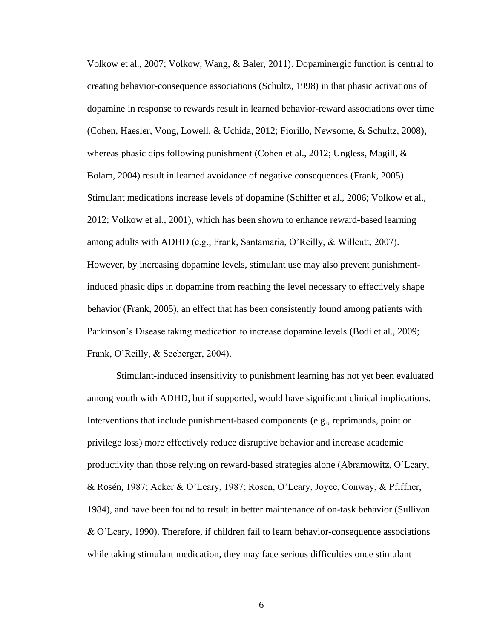Volkow et al., 2007; Volkow, Wang, & Baler, 2011). Dopaminergic function is central to creating behavior-consequence associations (Schultz, 1998) in that phasic activations of dopamine in response to rewards result in learned behavior-reward associations over time (Cohen, Haesler, Vong, Lowell, & Uchida, 2012; Fiorillo, Newsome, & Schultz, 2008), whereas phasic dips following punishment (Cohen et al., 2012; Ungless, Magill, & Bolam, 2004) result in learned avoidance of negative consequences (Frank, 2005). Stimulant medications increase levels of dopamine (Schiffer et al., 2006; Volkow et al., 2012; Volkow et al., 2001), which has been shown to enhance reward-based learning among adults with ADHD (e.g., Frank, Santamaria, O'Reilly, & Willcutt, 2007). However, by increasing dopamine levels, stimulant use may also prevent punishmentinduced phasic dips in dopamine from reaching the level necessary to effectively shape behavior (Frank, 2005), an effect that has been consistently found among patients with Parkinson's Disease taking medication to increase dopamine levels (Bodi et al., 2009; Frank, O'Reilly, & Seeberger, 2004).

Stimulant-induced insensitivity to punishment learning has not yet been evaluated among youth with ADHD, but if supported, would have significant clinical implications. Interventions that include punishment-based components (e.g., reprimands, point or privilege loss) more effectively reduce disruptive behavior and increase academic productivity than those relying on reward-based strategies alone (Abramowitz, O'Leary, & Rosén, 1987; Acker & O'Leary, 1987; Rosen, O'Leary, Joyce, Conway, & Pfiffner, 1984), and have been found to result in better maintenance of on-task behavior (Sullivan & O'Leary, 1990). Therefore, if children fail to learn behavior-consequence associations while taking stimulant medication, they may face serious difficulties once stimulant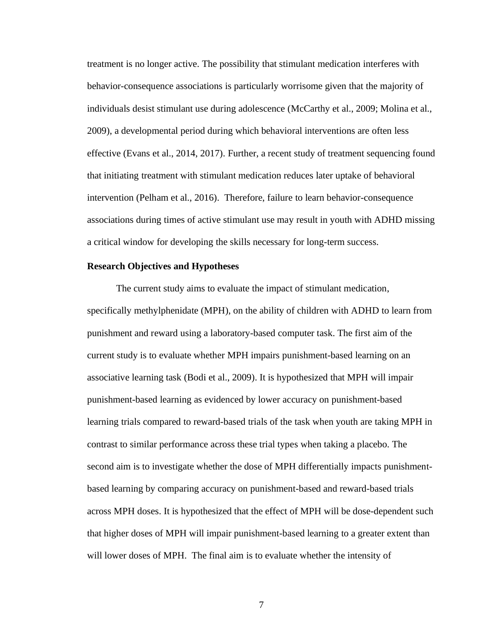treatment is no longer active. The possibility that stimulant medication interferes with behavior-consequence associations is particularly worrisome given that the majority of individuals desist stimulant use during adolescence (McCarthy et al., 2009; Molina et al., 2009), a developmental period during which behavioral interventions are often less effective (Evans et al., 2014, 2017). Further, a recent study of treatment sequencing found that initiating treatment with stimulant medication reduces later uptake of behavioral intervention (Pelham et al., 2016). Therefore, failure to learn behavior-consequence associations during times of active stimulant use may result in youth with ADHD missing a critical window for developing the skills necessary for long-term success.

# <span id="page-14-0"></span>**Research Objectives and Hypotheses**

The current study aims to evaluate the impact of stimulant medication, specifically methylphenidate (MPH), on the ability of children with ADHD to learn from punishment and reward using a laboratory-based computer task. The first aim of the current study is to evaluate whether MPH impairs punishment-based learning on an associative learning task (Bodi et al., 2009). It is hypothesized that MPH will impair punishment-based learning as evidenced by lower accuracy on punishment-based learning trials compared to reward-based trials of the task when youth are taking MPH in contrast to similar performance across these trial types when taking a placebo. The second aim is to investigate whether the dose of MPH differentially impacts punishmentbased learning by comparing accuracy on punishment-based and reward-based trials across MPH doses. It is hypothesized that the effect of MPH will be dose-dependent such that higher doses of MPH will impair punishment-based learning to a greater extent than will lower doses of MPH. The final aim is to evaluate whether the intensity of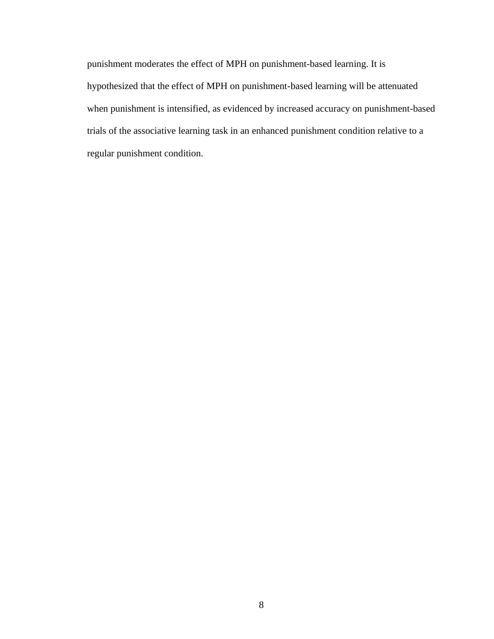punishment moderates the effect of MPH on punishment-based learning. It is hypothesized that the effect of MPH on punishment-based learning will be attenuated when punishment is intensified, as evidenced by increased accuracy on punishment-based trials of the associative learning task in an enhanced punishment condition relative to a regular punishment condition.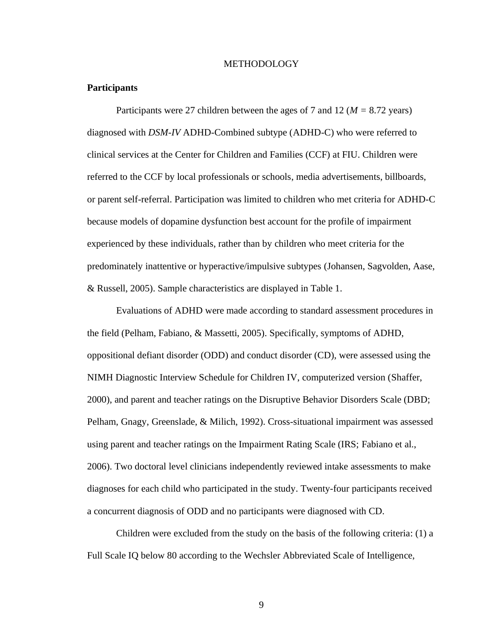# **METHODOLOGY**

# <span id="page-16-1"></span><span id="page-16-0"></span>**Participants**

Participants were 27 children between the ages of 7 and 12 (*M =* 8.72 years) diagnosed with *DSM-IV* ADHD-Combined subtype (ADHD-C) who were referred to clinical services at the Center for Children and Families (CCF) at FIU. Children were referred to the CCF by local professionals or schools, media advertisements, billboards, or parent self-referral. Participation was limited to children who met criteria for ADHD-C because models of dopamine dysfunction best account for the profile of impairment experienced by these individuals, rather than by children who meet criteria for the predominately inattentive or hyperactive/impulsive subtypes (Johansen, Sagvolden, Aase, & Russell, 2005). Sample characteristics are displayed in Table 1.

Evaluations of ADHD were made according to standard assessment procedures in the field (Pelham, Fabiano, & Massetti, 2005). Specifically, symptoms of ADHD, oppositional defiant disorder (ODD) and conduct disorder (CD), were assessed using the NIMH Diagnostic Interview Schedule for Children IV, computerized version (Shaffer, 2000), and parent and teacher ratings on the Disruptive Behavior Disorders Scale (DBD; Pelham, Gnagy, Greenslade, & Milich, 1992). Cross-situational impairment was assessed using parent and teacher ratings on the Impairment Rating Scale (IRS; Fabiano et al., 2006). Two doctoral level clinicians independently reviewed intake assessments to make diagnoses for each child who participated in the study. Twenty-four participants received a concurrent diagnosis of ODD and no participants were diagnosed with CD.

Children were excluded from the study on the basis of the following criteria: (1) a Full Scale IQ below 80 according to the Wechsler Abbreviated Scale of Intelligence,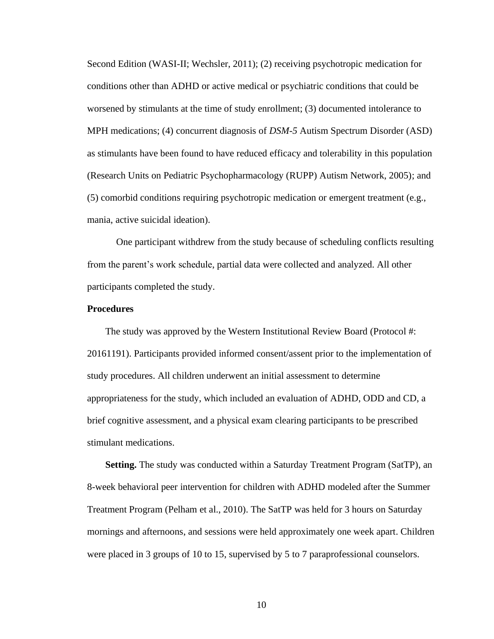Second Edition (WASI-II; Wechsler, 2011); (2) receiving psychotropic medication for conditions other than ADHD or active medical or psychiatric conditions that could be worsened by stimulants at the time of study enrollment; (3) documented intolerance to MPH medications; (4) concurrent diagnosis of *DSM-5* Autism Spectrum Disorder (ASD) as stimulants have been found to have reduced efficacy and tolerability in this population (Research Units on Pediatric Psychopharmacology (RUPP) Autism Network, 2005); and (5) comorbid conditions requiring psychotropic medication or emergent treatment (e.g., mania, active suicidal ideation).

One participant withdrew from the study because of scheduling conflicts resulting from the parent's work schedule, partial data were collected and analyzed. All other participants completed the study.

# <span id="page-17-0"></span>**Procedures**

The study was approved by the Western Institutional Review Board (Protocol #: 20161191). Participants provided informed consent/assent prior to the implementation of study procedures. All children underwent an initial assessment to determine appropriateness for the study, which included an evaluation of ADHD, ODD and CD, a brief cognitive assessment, and a physical exam clearing participants to be prescribed stimulant medications.

**Setting.** The study was conducted within a Saturday Treatment Program (SatTP), an 8-week behavioral peer intervention for children with ADHD modeled after the Summer Treatment Program (Pelham et al., 2010). The SatTP was held for 3 hours on Saturday mornings and afternoons, and sessions were held approximately one week apart. Children were placed in 3 groups of 10 to 15, supervised by 5 to 7 paraprofessional counselors.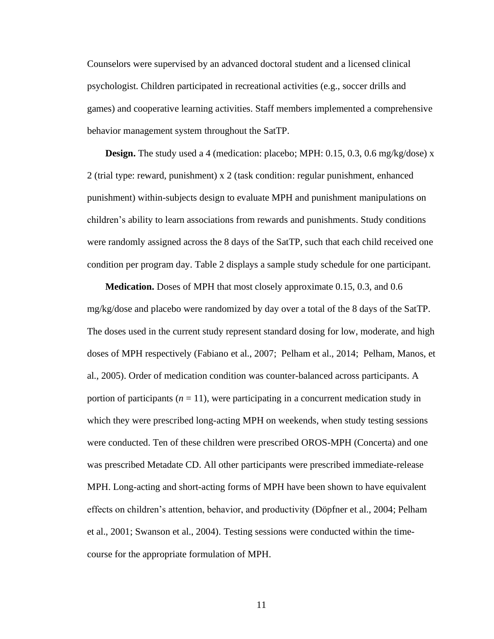Counselors were supervised by an advanced doctoral student and a licensed clinical psychologist. Children participated in recreational activities (e.g., soccer drills and games) and cooperative learning activities. Staff members implemented a comprehensive behavior management system throughout the SatTP.

**Design.** The study used a 4 (medication: placebo; MPH: 0.15, 0.3, 0.6 mg/kg/dose) x 2 (trial type: reward, punishment) x 2 (task condition: regular punishment, enhanced punishment) within-subjects design to evaluate MPH and punishment manipulations on children's ability to learn associations from rewards and punishments. Study conditions were randomly assigned across the 8 days of the SatTP, such that each child received one condition per program day. Table 2 displays a sample study schedule for one participant.

**Medication.** Doses of MPH that most closely approximate 0.15, 0.3, and 0.6 mg/kg/dose and placebo were randomized by day over a total of the 8 days of the SatTP. The doses used in the current study represent standard dosing for low, moderate, and high doses of MPH respectively (Fabiano et al., 2007; Pelham et al., 2014; Pelham, Manos, et al., 2005). Order of medication condition was counter-balanced across participants. A portion of participants  $(n = 11)$ , were participating in a concurrent medication study in which they were prescribed long-acting MPH on weekends, when study testing sessions were conducted. Ten of these children were prescribed OROS-MPH (Concerta) and one was prescribed Metadate CD. All other participants were prescribed immediate-release MPH. Long-acting and short-acting forms of MPH have been shown to have equivalent effects on children's attention, behavior, and productivity (Döpfner et al., 2004; Pelham et al., 2001; Swanson et al., 2004). Testing sessions were conducted within the timecourse for the appropriate formulation of MPH.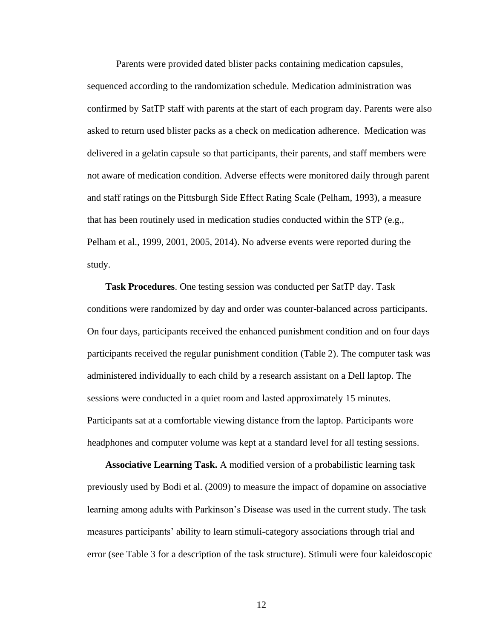Parents were provided dated blister packs containing medication capsules, sequenced according to the randomization schedule. Medication administration was confirmed by SatTP staff with parents at the start of each program day. Parents were also asked to return used blister packs as a check on medication adherence. Medication was delivered in a gelatin capsule so that participants, their parents, and staff members were not aware of medication condition. Adverse effects were monitored daily through parent and staff ratings on the Pittsburgh Side Effect Rating Scale (Pelham, 1993), a measure that has been routinely used in medication studies conducted within the STP (e.g., Pelham et al., 1999, 2001, 2005, 2014). No adverse events were reported during the study.

**Task Procedures**. One testing session was conducted per SatTP day. Task conditions were randomized by day and order was counter-balanced across participants. On four days, participants received the enhanced punishment condition and on four days participants received the regular punishment condition (Table 2). The computer task was administered individually to each child by a research assistant on a Dell laptop. The sessions were conducted in a quiet room and lasted approximately 15 minutes. Participants sat at a comfortable viewing distance from the laptop. Participants wore headphones and computer volume was kept at a standard level for all testing sessions.

**Associative Learning Task.** A modified version of a probabilistic learning task previously used by Bodi et al. (2009) to measure the impact of dopamine on associative learning among adults with Parkinson's Disease was used in the current study. The task measures participants' ability to learn stimuli-category associations through trial and error (see Table 3 for a description of the task structure). Stimuli were four kaleidoscopic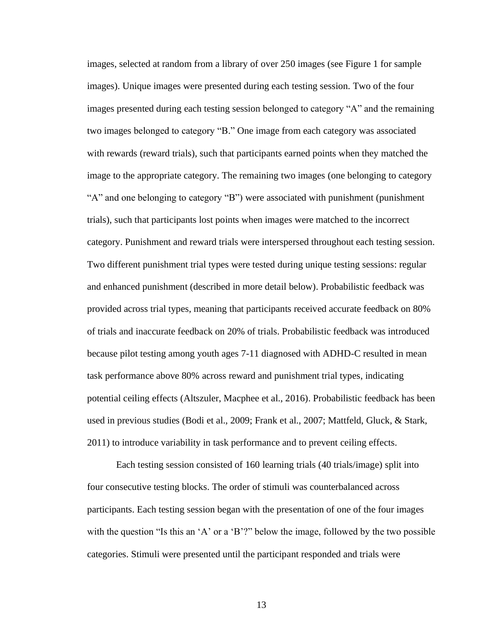images, selected at random from a library of over 250 images (see Figure 1 for sample images). Unique images were presented during each testing session. Two of the four images presented during each testing session belonged to category "A" and the remaining two images belonged to category "B." One image from each category was associated with rewards (reward trials), such that participants earned points when they matched the image to the appropriate category. The remaining two images (one belonging to category "A" and one belonging to category "B") were associated with punishment (punishment trials), such that participants lost points when images were matched to the incorrect category. Punishment and reward trials were interspersed throughout each testing session. Two different punishment trial types were tested during unique testing sessions: regular and enhanced punishment (described in more detail below). Probabilistic feedback was provided across trial types, meaning that participants received accurate feedback on 80% of trials and inaccurate feedback on 20% of trials. Probabilistic feedback was introduced because pilot testing among youth ages 7-11 diagnosed with ADHD-C resulted in mean task performance above 80% across reward and punishment trial types, indicating potential ceiling effects (Altszuler, Macphee et al., 2016). Probabilistic feedback has been used in previous studies (Bodi et al., 2009; Frank et al., 2007; Mattfeld, Gluck, & Stark, 2011) to introduce variability in task performance and to prevent ceiling effects.

Each testing session consisted of 160 learning trials (40 trials/image) split into four consecutive testing blocks. The order of stimuli was counterbalanced across participants. Each testing session began with the presentation of one of the four images with the question "Is this an 'A' or a 'B'?" below the image, followed by the two possible categories. Stimuli were presented until the participant responded and trials were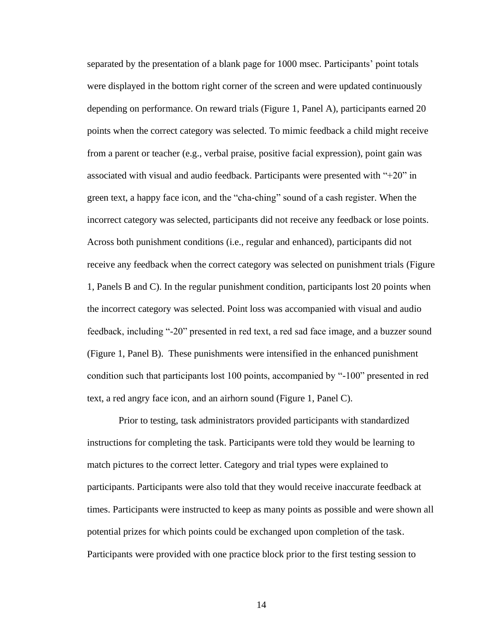separated by the presentation of a blank page for 1000 msec. Participants' point totals were displayed in the bottom right corner of the screen and were updated continuously depending on performance. On reward trials (Figure 1, Panel A), participants earned 20 points when the correct category was selected. To mimic feedback a child might receive from a parent or teacher (e.g., verbal praise, positive facial expression), point gain was associated with visual and audio feedback. Participants were presented with "+20" in green text, a happy face icon, and the "cha-ching" sound of a cash register. When the incorrect category was selected, participants did not receive any feedback or lose points. Across both punishment conditions (i.e., regular and enhanced), participants did not receive any feedback when the correct category was selected on punishment trials (Figure 1, Panels B and C). In the regular punishment condition, participants lost 20 points when the incorrect category was selected. Point loss was accompanied with visual and audio feedback, including "-20" presented in red text, a red sad face image, and a buzzer sound (Figure 1, Panel B). These punishments were intensified in the enhanced punishment condition such that participants lost 100 points, accompanied by "-100" presented in red text, a red angry face icon, and an airhorn sound (Figure 1, Panel C).

Prior to testing, task administrators provided participants with standardized instructions for completing the task. Participants were told they would be learning to match pictures to the correct letter. Category and trial types were explained to participants. Participants were also told that they would receive inaccurate feedback at times. Participants were instructed to keep as many points as possible and were shown all potential prizes for which points could be exchanged upon completion of the task. Participants were provided with one practice block prior to the first testing session to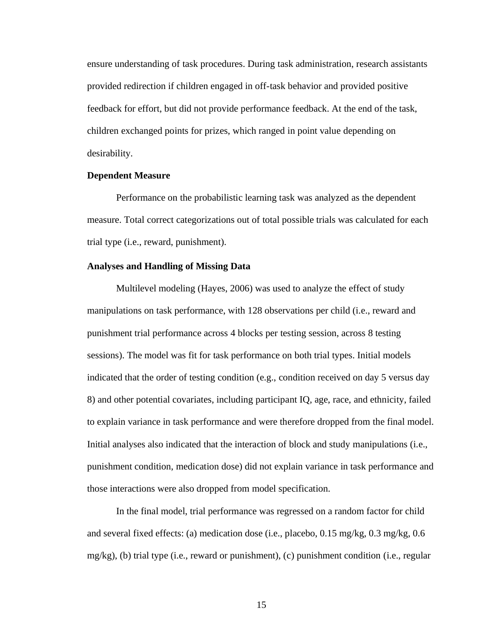ensure understanding of task procedures. During task administration, research assistants provided redirection if children engaged in off-task behavior and provided positive feedback for effort, but did not provide performance feedback. At the end of the task, children exchanged points for prizes, which ranged in point value depending on desirability.

# <span id="page-22-0"></span>**Dependent Measure**

Performance on the probabilistic learning task was analyzed as the dependent measure. Total correct categorizations out of total possible trials was calculated for each trial type (i.e., reward, punishment).

# <span id="page-22-1"></span>**Analyses and Handling of Missing Data**

Multilevel modeling (Hayes, 2006) was used to analyze the effect of study manipulations on task performance, with 128 observations per child (i.e., reward and punishment trial performance across 4 blocks per testing session, across 8 testing sessions). The model was fit for task performance on both trial types. Initial models indicated that the order of testing condition (e.g., condition received on day 5 versus day 8) and other potential covariates, including participant IQ, age, race, and ethnicity, failed to explain variance in task performance and were therefore dropped from the final model. Initial analyses also indicated that the interaction of block and study manipulations (i.e., punishment condition, medication dose) did not explain variance in task performance and those interactions were also dropped from model specification.

In the final model, trial performance was regressed on a random factor for child and several fixed effects: (a) medication dose (i.e., placebo, 0.15 mg/kg, 0.3 mg/kg, 0.6 mg/kg), (b) trial type (i.e., reward or punishment), (c) punishment condition (i.e., regular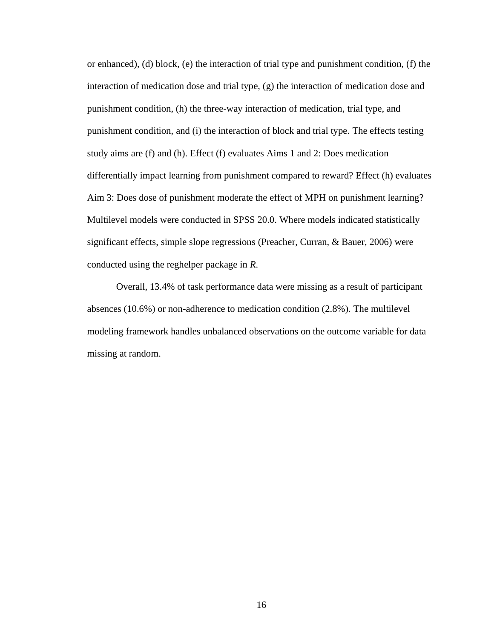or enhanced), (d) block, (e) the interaction of trial type and punishment condition, (f) the interaction of medication dose and trial type, (g) the interaction of medication dose and punishment condition, (h) the three-way interaction of medication, trial type, and punishment condition, and (i) the interaction of block and trial type. The effects testing study aims are (f) and (h). Effect (f) evaluates Aims 1 and 2: Does medication differentially impact learning from punishment compared to reward? Effect (h) evaluates Aim 3: Does dose of punishment moderate the effect of MPH on punishment learning? Multilevel models were conducted in SPSS 20.0. Where models indicated statistically significant effects, simple slope regressions (Preacher, Curran, & Bauer, 2006) were conducted using the reghelper package in *R*.

Overall, 13.4% of task performance data were missing as a result of participant absences (10.6%) or non-adherence to medication condition (2.8%). The multilevel modeling framework handles unbalanced observations on the outcome variable for data missing at random.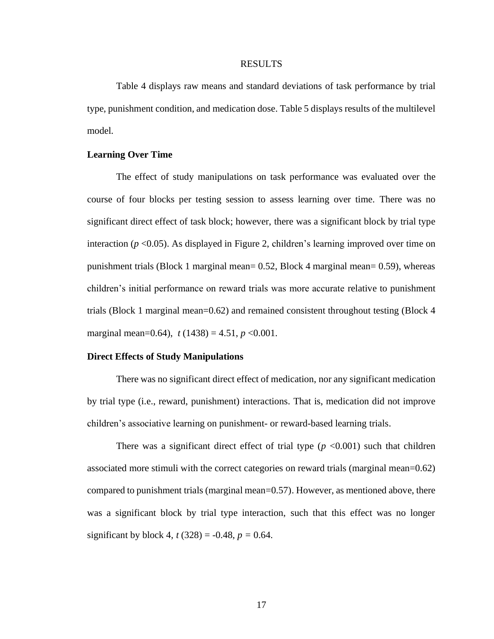#### RESULTS

<span id="page-24-0"></span>Table 4 displays raw means and standard deviations of task performance by trial type, punishment condition, and medication dose. Table 5 displays results of the multilevel model.

# <span id="page-24-1"></span>**Learning Over Time**

The effect of study manipulations on task performance was evaluated over the course of four blocks per testing session to assess learning over time. There was no significant direct effect of task block; however, there was a significant block by trial type interaction (*p* <0.05). As displayed in Figure 2, children's learning improved over time on punishment trials (Block 1 marginal mean= 0.52, Block 4 marginal mean= 0.59), whereas children's initial performance on reward trials was more accurate relative to punishment trials (Block 1 marginal mean=0.62) and remained consistent throughout testing (Block 4 marginal mean=0.64),  $t(1438) = 4.51$ ,  $p < 0.001$ .

# <span id="page-24-2"></span>**Direct Effects of Study Manipulations**

There was no significant direct effect of medication, nor any significant medication by trial type (i.e., reward, punishment) interactions. That is, medication did not improve children's associative learning on punishment- or reward-based learning trials.

There was a significant direct effect of trial type  $(p \le 0.001)$  such that children associated more stimuli with the correct categories on reward trials (marginal mean=0.62) compared to punishment trials (marginal mean=0.57). However, as mentioned above, there was a significant block by trial type interaction, such that this effect was no longer significant by block 4,  $t(328) = -0.48$ ,  $p = 0.64$ .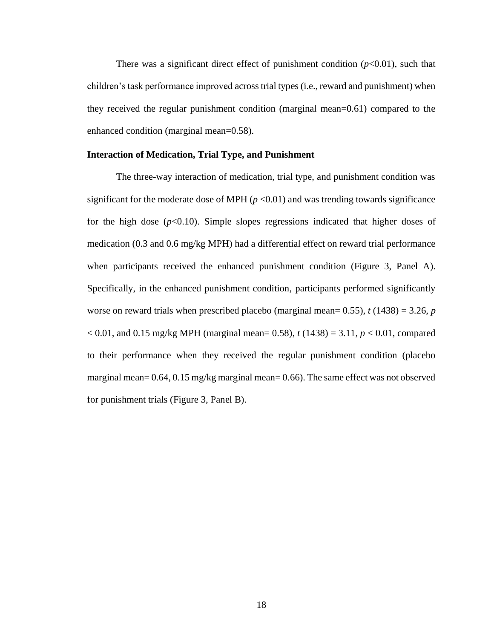There was a significant direct effect of punishment condition  $(p<0.01)$ , such that children's task performance improved across trial types (i.e., reward and punishment) when they received the regular punishment condition (marginal mean=0.61) compared to the enhanced condition (marginal mean=0.58).

# <span id="page-25-0"></span>**Interaction of Medication, Trial Type, and Punishment**

The three-way interaction of medication, trial type, and punishment condition was significant for the moderate dose of MPH  $(p < 0.01)$  and was trending towards significance for the high dose  $(p<0.10)$ . Simple slopes regressions indicated that higher doses of medication (0.3 and 0.6 mg/kg MPH) had a differential effect on reward trial performance when participants received the enhanced punishment condition (Figure 3, Panel A). Specifically, in the enhanced punishment condition, participants performed significantly worse on reward trials when prescribed placebo (marginal mean=  $0.55$ ),  $t$  (1438) = 3.26, *p* < 0.01, and 0.15 mg/kg MPH (marginal mean= 0.58), *t* (1438) = 3.11, *p* < 0.01, compared to their performance when they received the regular punishment condition (placebo marginal mean=  $0.64$ ,  $0.15$  mg/kg marginal mean=  $0.66$ ). The same effect was not observed for punishment trials (Figure 3, Panel B).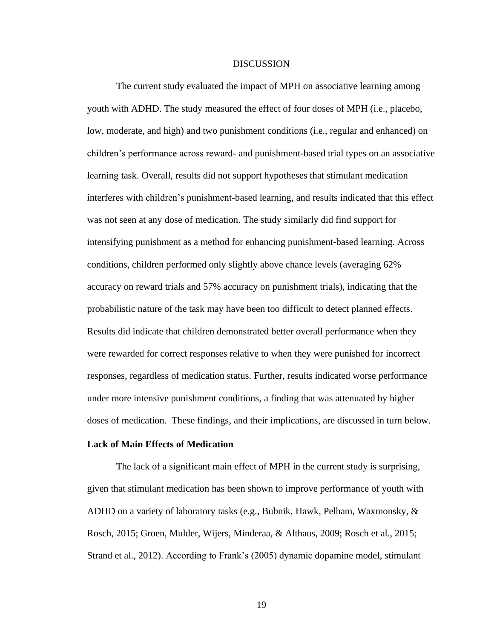### **DISCUSSION**

<span id="page-26-0"></span>The current study evaluated the impact of MPH on associative learning among youth with ADHD. The study measured the effect of four doses of MPH (i.e., placebo, low, moderate, and high) and two punishment conditions (i.e., regular and enhanced) on children's performance across reward- and punishment-based trial types on an associative learning task. Overall, results did not support hypotheses that stimulant medication interferes with children's punishment-based learning, and results indicated that this effect was not seen at any dose of medication. The study similarly did find support for intensifying punishment as a method for enhancing punishment-based learning. Across conditions, children performed only slightly above chance levels (averaging 62% accuracy on reward trials and 57% accuracy on punishment trials), indicating that the probabilistic nature of the task may have been too difficult to detect planned effects. Results did indicate that children demonstrated better overall performance when they were rewarded for correct responses relative to when they were punished for incorrect responses, regardless of medication status. Further, results indicated worse performance under more intensive punishment conditions, a finding that was attenuated by higher doses of medication. These findings, and their implications, are discussed in turn below.

# <span id="page-26-1"></span>**Lack of Main Effects of Medication**

The lack of a significant main effect of MPH in the current study is surprising, given that stimulant medication has been shown to improve performance of youth with ADHD on a variety of laboratory tasks (e.g., Bubnik, Hawk, Pelham, Waxmonsky, & Rosch, 2015; Groen, Mulder, Wijers, Minderaa, & Althaus, 2009; Rosch et al., 2015; Strand et al., 2012). According to Frank's (2005) dynamic dopamine model, stimulant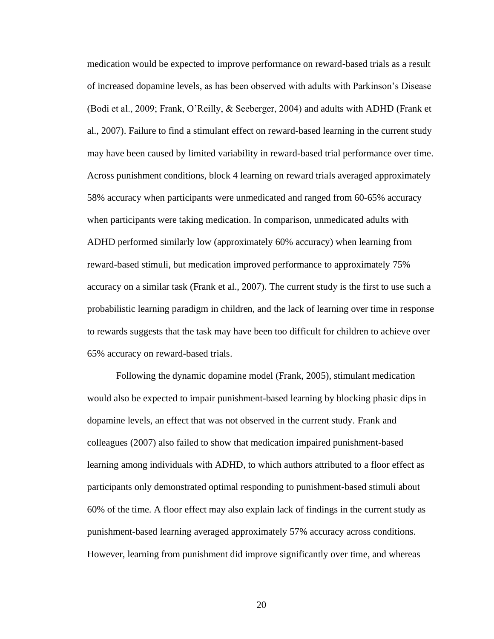medication would be expected to improve performance on reward-based trials as a result of increased dopamine levels, as has been observed with adults with Parkinson's Disease (Bodi et al., 2009; Frank, O'Reilly, & Seeberger, 2004) and adults with ADHD (Frank et al., 2007). Failure to find a stimulant effect on reward-based learning in the current study may have been caused by limited variability in reward-based trial performance over time. Across punishment conditions, block 4 learning on reward trials averaged approximately 58% accuracy when participants were unmedicated and ranged from 60-65% accuracy when participants were taking medication. In comparison, unmedicated adults with ADHD performed similarly low (approximately 60% accuracy) when learning from reward-based stimuli, but medication improved performance to approximately 75% accuracy on a similar task (Frank et al., 2007). The current study is the first to use such a probabilistic learning paradigm in children, and the lack of learning over time in response to rewards suggests that the task may have been too difficult for children to achieve over 65% accuracy on reward-based trials.

Following the dynamic dopamine model (Frank, 2005), stimulant medication would also be expected to impair punishment-based learning by blocking phasic dips in dopamine levels, an effect that was not observed in the current study. Frank and colleagues (2007) also failed to show that medication impaired punishment-based learning among individuals with ADHD, to which authors attributed to a floor effect as participants only demonstrated optimal responding to punishment-based stimuli about 60% of the time. A floor effect may also explain lack of findings in the current study as punishment-based learning averaged approximately 57% accuracy across conditions. However, learning from punishment did improve significantly over time, and whereas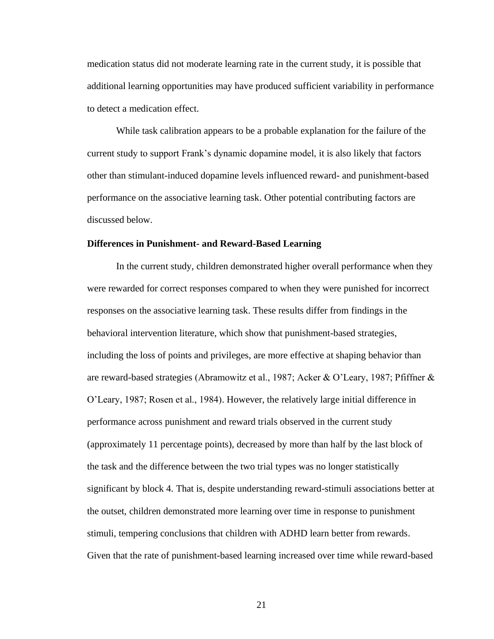medication status did not moderate learning rate in the current study, it is possible that additional learning opportunities may have produced sufficient variability in performance to detect a medication effect.

While task calibration appears to be a probable explanation for the failure of the current study to support Frank's dynamic dopamine model, it is also likely that factors other than stimulant-induced dopamine levels influenced reward- and punishment-based performance on the associative learning task. Other potential contributing factors are discussed below.

# <span id="page-28-0"></span>**Differences in Punishment- and Reward-Based Learning**

In the current study, children demonstrated higher overall performance when they were rewarded for correct responses compared to when they were punished for incorrect responses on the associative learning task. These results differ from findings in the behavioral intervention literature, which show that punishment-based strategies, including the loss of points and privileges, are more effective at shaping behavior than are reward-based strategies (Abramowitz et al., 1987; Acker & O'Leary, 1987; Pfiffner & O'Leary, 1987; Rosen et al., 1984). However, the relatively large initial difference in performance across punishment and reward trials observed in the current study (approximately 11 percentage points), decreased by more than half by the last block of the task and the difference between the two trial types was no longer statistically significant by block 4. That is, despite understanding reward-stimuli associations better at the outset, children demonstrated more learning over time in response to punishment stimuli, tempering conclusions that children with ADHD learn better from rewards. Given that the rate of punishment-based learning increased over time while reward-based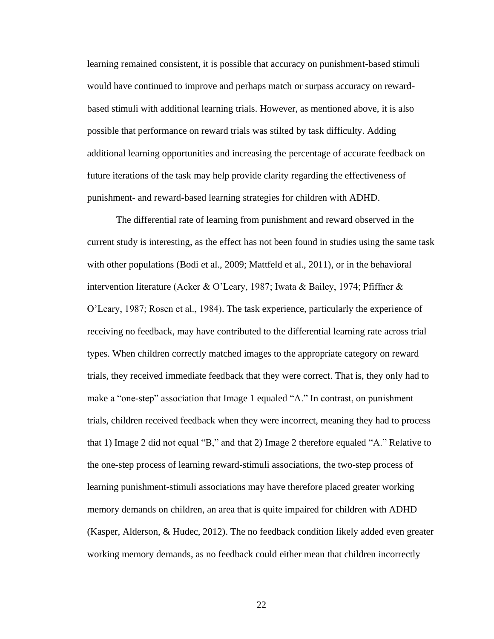learning remained consistent, it is possible that accuracy on punishment-based stimuli would have continued to improve and perhaps match or surpass accuracy on rewardbased stimuli with additional learning trials. However, as mentioned above, it is also possible that performance on reward trials was stilted by task difficulty. Adding additional learning opportunities and increasing the percentage of accurate feedback on future iterations of the task may help provide clarity regarding the effectiveness of punishment- and reward-based learning strategies for children with ADHD.

The differential rate of learning from punishment and reward observed in the current study is interesting, as the effect has not been found in studies using the same task with other populations (Bodi et al., 2009; Mattfeld et al., 2011), or in the behavioral intervention literature (Acker & O'Leary, 1987; Iwata & Bailey, 1974; Pfiffner & O'Leary, 1987; Rosen et al., 1984). The task experience, particularly the experience of receiving no feedback, may have contributed to the differential learning rate across trial types. When children correctly matched images to the appropriate category on reward trials, they received immediate feedback that they were correct. That is, they only had to make a "one-step" association that Image 1 equaled "A." In contrast, on punishment trials, children received feedback when they were incorrect, meaning they had to process that 1) Image 2 did not equal "B," and that 2) Image 2 therefore equaled "A." Relative to the one-step process of learning reward-stimuli associations, the two-step process of learning punishment-stimuli associations may have therefore placed greater working memory demands on children, an area that is quite impaired for children with ADHD (Kasper, Alderson, & Hudec, 2012). The no feedback condition likely added even greater working memory demands, as no feedback could either mean that children incorrectly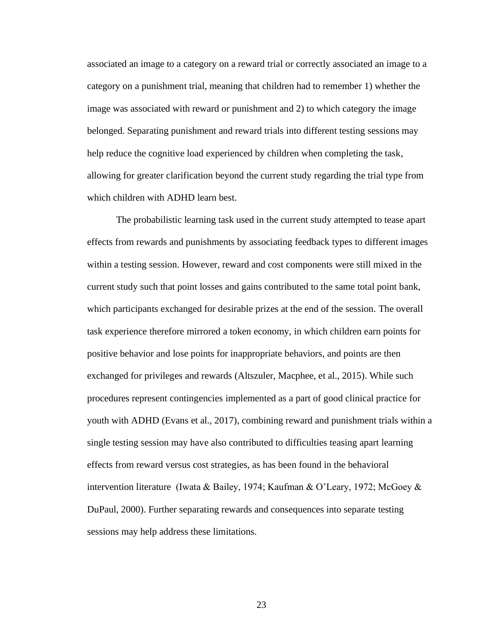associated an image to a category on a reward trial or correctly associated an image to a category on a punishment trial, meaning that children had to remember 1) whether the image was associated with reward or punishment and 2) to which category the image belonged. Separating punishment and reward trials into different testing sessions may help reduce the cognitive load experienced by children when completing the task, allowing for greater clarification beyond the current study regarding the trial type from which children with ADHD learn best.

The probabilistic learning task used in the current study attempted to tease apart effects from rewards and punishments by associating feedback types to different images within a testing session. However, reward and cost components were still mixed in the current study such that point losses and gains contributed to the same total point bank, which participants exchanged for desirable prizes at the end of the session. The overall task experience therefore mirrored a token economy, in which children earn points for positive behavior and lose points for inappropriate behaviors, and points are then exchanged for privileges and rewards (Altszuler, Macphee, et al., 2015). While such procedures represent contingencies implemented as a part of good clinical practice for youth with ADHD (Evans et al., 2017), combining reward and punishment trials within a single testing session may have also contributed to difficulties teasing apart learning effects from reward versus cost strategies, as has been found in the behavioral intervention literature (Iwata & Bailey, 1974; Kaufman & O'Leary, 1972; McGoey & DuPaul, 2000). Further separating rewards and consequences into separate testing sessions may help address these limitations.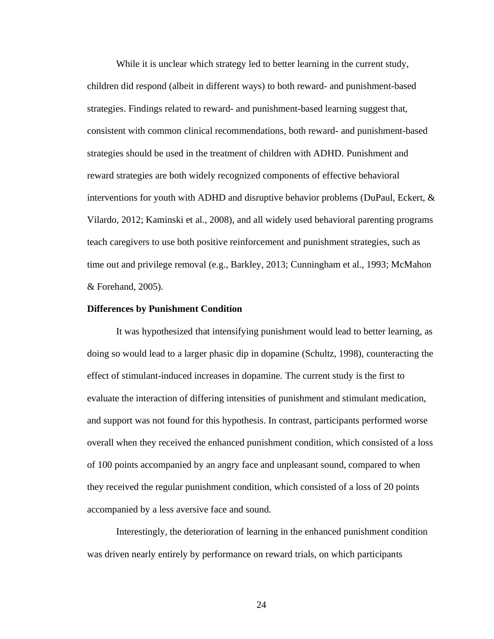While it is unclear which strategy led to better learning in the current study, children did respond (albeit in different ways) to both reward- and punishment-based strategies. Findings related to reward- and punishment-based learning suggest that, consistent with common clinical recommendations, both reward- and punishment-based strategies should be used in the treatment of children with ADHD. Punishment and reward strategies are both widely recognized components of effective behavioral interventions for youth with ADHD and disruptive behavior problems (DuPaul, Eckert, & Vilardo, 2012; Kaminski et al., 2008), and all widely used behavioral parenting programs teach caregivers to use both positive reinforcement and punishment strategies, such as time out and privilege removal (e.g., Barkley, 2013; Cunningham et al., 1993; McMahon & Forehand, 2005).

#### <span id="page-31-0"></span>**Differences by Punishment Condition**

It was hypothesized that intensifying punishment would lead to better learning, as doing so would lead to a larger phasic dip in dopamine (Schultz, 1998), counteracting the effect of stimulant-induced increases in dopamine. The current study is the first to evaluate the interaction of differing intensities of punishment and stimulant medication, and support was not found for this hypothesis. In contrast, participants performed worse overall when they received the enhanced punishment condition, which consisted of a loss of 100 points accompanied by an angry face and unpleasant sound, compared to when they received the regular punishment condition, which consisted of a loss of 20 points accompanied by a less aversive face and sound.

Interestingly, the deterioration of learning in the enhanced punishment condition was driven nearly entirely by performance on reward trials, on which participants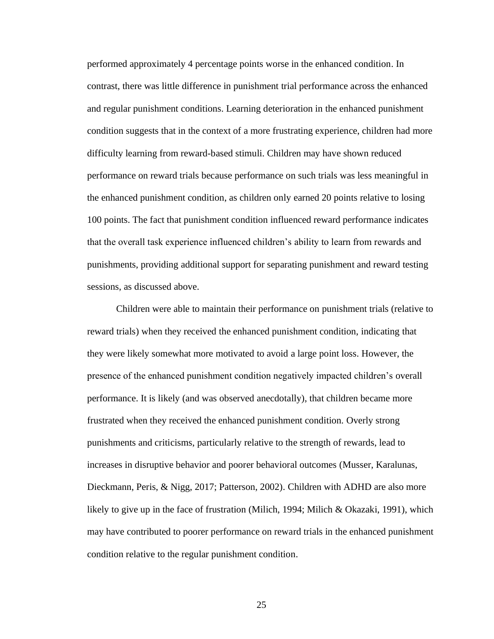performed approximately 4 percentage points worse in the enhanced condition. In contrast, there was little difference in punishment trial performance across the enhanced and regular punishment conditions. Learning deterioration in the enhanced punishment condition suggests that in the context of a more frustrating experience, children had more difficulty learning from reward-based stimuli. Children may have shown reduced performance on reward trials because performance on such trials was less meaningful in the enhanced punishment condition, as children only earned 20 points relative to losing 100 points. The fact that punishment condition influenced reward performance indicates that the overall task experience influenced children's ability to learn from rewards and punishments, providing additional support for separating punishment and reward testing sessions, as discussed above.

Children were able to maintain their performance on punishment trials (relative to reward trials) when they received the enhanced punishment condition, indicating that they were likely somewhat more motivated to avoid a large point loss. However, the presence of the enhanced punishment condition negatively impacted children's overall performance. It is likely (and was observed anecdotally), that children became more frustrated when they received the enhanced punishment condition. Overly strong punishments and criticisms, particularly relative to the strength of rewards, lead to increases in disruptive behavior and poorer behavioral outcomes (Musser, Karalunas, Dieckmann, Peris, & Nigg, 2017; Patterson, 2002). Children with ADHD are also more likely to give up in the face of frustration (Milich, 1994; Milich & Okazaki, 1991), which may have contributed to poorer performance on reward trials in the enhanced punishment condition relative to the regular punishment condition.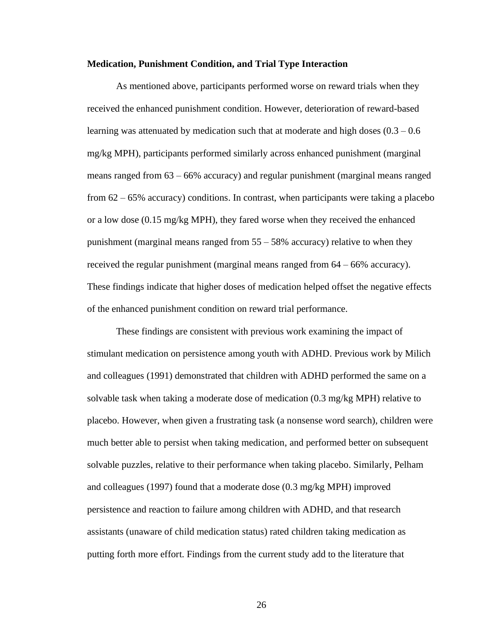#### **Medication, Punishment Condition, and Trial Type Interaction**

As mentioned above, participants performed worse on reward trials when they received the enhanced punishment condition. However, deterioration of reward-based learning was attenuated by medication such that at moderate and high doses  $(0.3 - 0.6)$ mg/kg MPH), participants performed similarly across enhanced punishment (marginal means ranged from 63 – 66% accuracy) and regular punishment (marginal means ranged from  $62 - 65\%$  accuracy) conditions. In contrast, when participants were taking a placebo or a low dose  $(0.15 \text{ mg/kg MPH})$ , they fared worse when they received the enhanced punishment (marginal means ranged from  $55 - 58\%$  accuracy) relative to when they received the regular punishment (marginal means ranged from 64 – 66% accuracy). These findings indicate that higher doses of medication helped offset the negative effects of the enhanced punishment condition on reward trial performance.

These findings are consistent with previous work examining the impact of stimulant medication on persistence among youth with ADHD. Previous work by Milich and colleagues (1991) demonstrated that children with ADHD performed the same on a solvable task when taking a moderate dose of medication (0.3 mg/kg MPH) relative to placebo. However, when given a frustrating task (a nonsense word search), children were much better able to persist when taking medication, and performed better on subsequent solvable puzzles, relative to their performance when taking placebo. Similarly, Pelham and colleagues (1997) found that a moderate dose (0.3 mg/kg MPH) improved persistence and reaction to failure among children with ADHD, and that research assistants (unaware of child medication status) rated children taking medication as putting forth more effort. Findings from the current study add to the literature that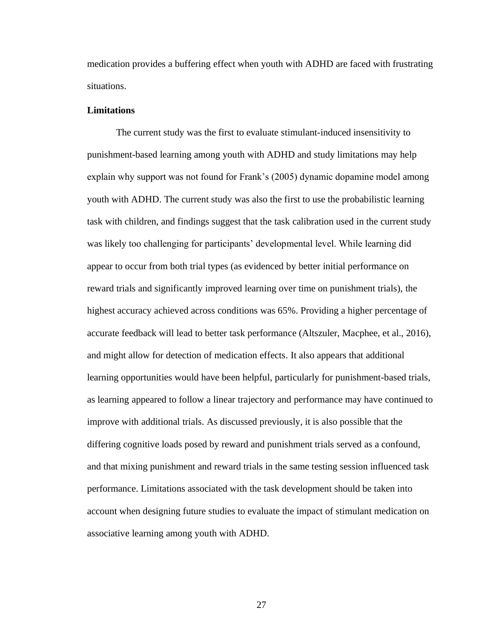medication provides a buffering effect when youth with ADHD are faced with frustrating situations.

# <span id="page-34-0"></span>**Limitations**

The current study was the first to evaluate stimulant-induced insensitivity to punishment-based learning among youth with ADHD and study limitations may help explain why support was not found for Frank's (2005) dynamic dopamine model among youth with ADHD. The current study was also the first to use the probabilistic learning task with children, and findings suggest that the task calibration used in the current study was likely too challenging for participants' developmental level. While learning did appear to occur from both trial types (as evidenced by better initial performance on reward trials and significantly improved learning over time on punishment trials), the highest accuracy achieved across conditions was 65%. Providing a higher percentage of accurate feedback will lead to better task performance (Altszuler, Macphee, et al., 2016), and might allow for detection of medication effects. It also appears that additional learning opportunities would have been helpful, particularly for punishment-based trials, as learning appeared to follow a linear trajectory and performance may have continued to improve with additional trials. As discussed previously, it is also possible that the differing cognitive loads posed by reward and punishment trials served as a confound, and that mixing punishment and reward trials in the same testing session influenced task performance. Limitations associated with the task development should be taken into account when designing future studies to evaluate the impact of stimulant medication on associative learning among youth with ADHD.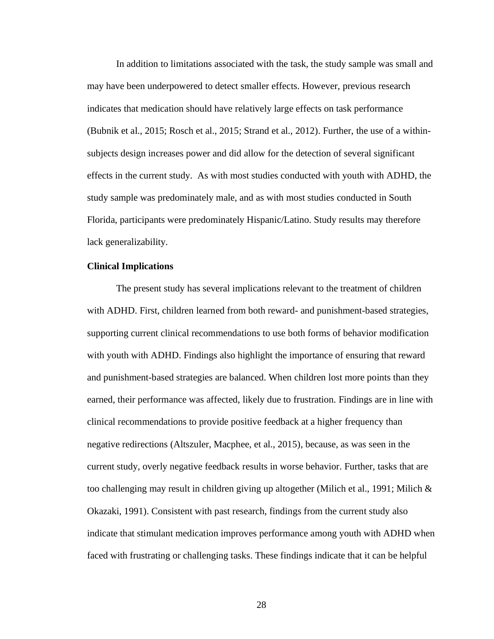In addition to limitations associated with the task, the study sample was small and may have been underpowered to detect smaller effects. However, previous research indicates that medication should have relatively large effects on task performance (Bubnik et al., 2015; Rosch et al., 2015; Strand et al., 2012). Further, the use of a withinsubjects design increases power and did allow for the detection of several significant effects in the current study. As with most studies conducted with youth with ADHD, the study sample was predominately male, and as with most studies conducted in South Florida, participants were predominately Hispanic/Latino. Study results may therefore lack generalizability.

# <span id="page-35-0"></span>**Clinical Implications**

The present study has several implications relevant to the treatment of children with ADHD. First, children learned from both reward- and punishment-based strategies, supporting current clinical recommendations to use both forms of behavior modification with youth with ADHD. Findings also highlight the importance of ensuring that reward and punishment-based strategies are balanced. When children lost more points than they earned, their performance was affected, likely due to frustration. Findings are in line with clinical recommendations to provide positive feedback at a higher frequency than negative redirections (Altszuler, Macphee, et al., 2015), because, as was seen in the current study, overly negative feedback results in worse behavior. Further, tasks that are too challenging may result in children giving up altogether (Milich et al., 1991; Milich & Okazaki, 1991). Consistent with past research, findings from the current study also indicate that stimulant medication improves performance among youth with ADHD when faced with frustrating or challenging tasks. These findings indicate that it can be helpful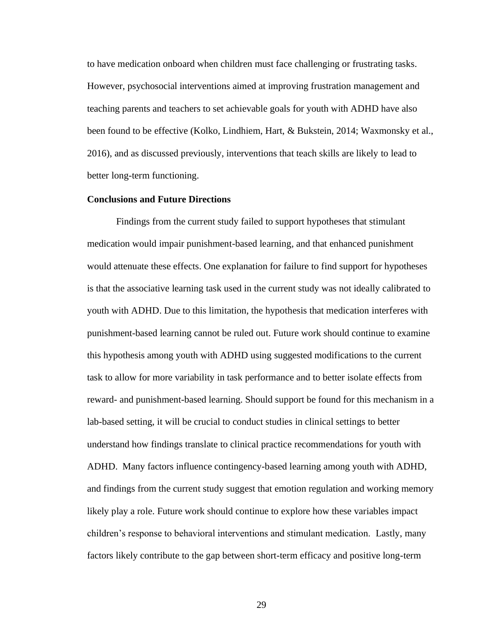to have medication onboard when children must face challenging or frustrating tasks. However, psychosocial interventions aimed at improving frustration management and teaching parents and teachers to set achievable goals for youth with ADHD have also been found to be effective (Kolko, Lindhiem, Hart, & Bukstein, 2014; Waxmonsky et al., 2016), and as discussed previously, interventions that teach skills are likely to lead to better long-term functioning.

# <span id="page-36-0"></span>**Conclusions and Future Directions**

Findings from the current study failed to support hypotheses that stimulant medication would impair punishment-based learning, and that enhanced punishment would attenuate these effects. One explanation for failure to find support for hypotheses is that the associative learning task used in the current study was not ideally calibrated to youth with ADHD. Due to this limitation, the hypothesis that medication interferes with punishment-based learning cannot be ruled out. Future work should continue to examine this hypothesis among youth with ADHD using suggested modifications to the current task to allow for more variability in task performance and to better isolate effects from reward- and punishment-based learning. Should support be found for this mechanism in a lab-based setting, it will be crucial to conduct studies in clinical settings to better understand how findings translate to clinical practice recommendations for youth with ADHD. Many factors influence contingency-based learning among youth with ADHD, and findings from the current study suggest that emotion regulation and working memory likely play a role. Future work should continue to explore how these variables impact children's response to behavioral interventions and stimulant medication. Lastly, many factors likely contribute to the gap between short-term efficacy and positive long-term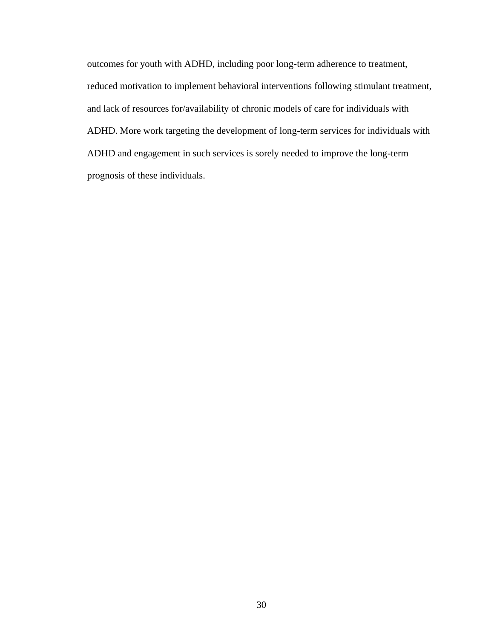outcomes for youth with ADHD, including poor long-term adherence to treatment, reduced motivation to implement behavioral interventions following stimulant treatment, and lack of resources for/availability of chronic models of care for individuals with ADHD. More work targeting the development of long-term services for individuals with ADHD and engagement in such services is sorely needed to improve the long-term prognosis of these individuals.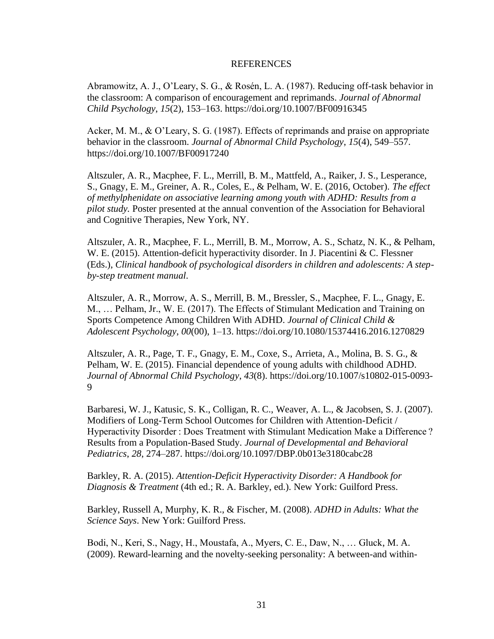# REFERENCES

<span id="page-38-0"></span>Abramowitz, A. J., O'Leary, S. G., & Rosén, L. A. (1987). Reducing off-task behavior in the classroom: A comparison of encouragement and reprimands. *Journal of Abnormal Child Psychology*, *15*(2), 153–163. https://doi.org/10.1007/BF00916345

Acker, M. M., & O'Leary, S. G. (1987). Effects of reprimands and praise on appropriate behavior in the classroom. *Journal of Abnormal Child Psychology*, *15*(4), 549–557. https://doi.org/10.1007/BF00917240

Altszuler, A. R., Macphee, F. L., Merrill, B. M., Mattfeld, A., Raiker, J. S., Lesperance, S., Gnagy, E. M., Greiner, A. R., Coles, E., & Pelham, W. E. (2016, October). *The effect of methylphenidate on associative learning among youth with ADHD: Results from a pilot study.* Poster presented at the annual convention of the Association for Behavioral and Cognitive Therapies, New York, NY.

Altszuler, A. R., Macphee, F. L., Merrill, B. M., Morrow, A. S., Schatz, N. K., & Pelham, W. E. (2015). Attention-deficit hyperactivity disorder. In J. Piacentini & C. Flessner (Eds.), *Clinical handbook of psychological disorders in children and adolescents: A stepby-step treatment manual*.

Altszuler, A. R., Morrow, A. S., Merrill, B. M., Bressler, S., Macphee, F. L., Gnagy, E. M., … Pelham, Jr., W. E. (2017). The Effects of Stimulant Medication and Training on Sports Competence Among Children With ADHD. *Journal of Clinical Child & Adolescent Psychology*, *00*(00), 1–13. https://doi.org/10.1080/15374416.2016.1270829

Altszuler, A. R., Page, T. F., Gnagy, E. M., Coxe, S., Arrieta, A., Molina, B. S. G., & Pelham, W. E. (2015). Financial dependence of young adults with childhood ADHD. *Journal of Abnormal Child Psychology*, *43*(8). https://doi.org/10.1007/s10802-015-0093- 9

Barbaresi, W. J., Katusic, S. K., Colligan, R. C., Weaver, A. L., & Jacobsen, S. J. (2007). Modifiers of Long-Term School Outcomes for Children with Attention-Deficit / Hyperactivity Disorder : Does Treatment with Stimulant Medication Make a Difference ? Results from a Population-Based Study. *Journal of Developmental and Behavioral Pediatrics*, *28*, 274–287. https://doi.org/10.1097/DBP.0b013e3180cabc28

Barkley, R. A. (2015). *Attention-Deficit Hyperactivity Disorder: A Handbook for Diagnosis & Treatment* (4th ed.; R. A. Barkley, ed.). New York: Guilford Press.

Barkley, Russell A, Murphy, K. R., & Fischer, M. (2008). *ADHD in Adults: What the Science Says*. New York: Guilford Press.

Bodi, N., Keri, S., Nagy, H., Moustafa, A., Myers, C. E., Daw, N., … Gluck, M. A. (2009). Reward-learning and the novelty-seeking personality: A between-and within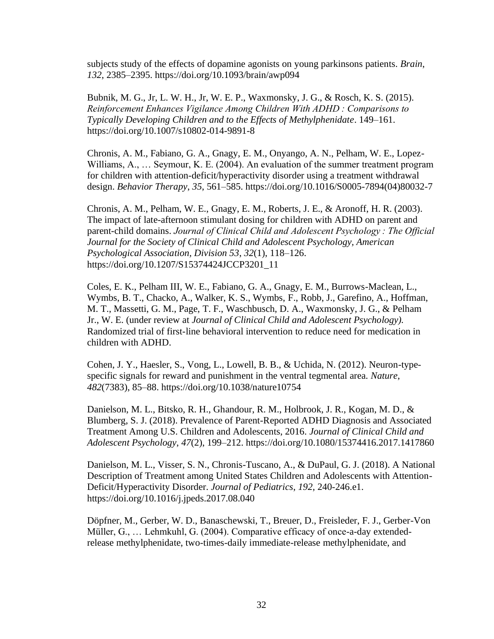subjects study of the effects of dopamine agonists on young parkinsons patients. *Brain*, *132*, 2385–2395. https://doi.org/10.1093/brain/awp094

Bubnik, M. G., Jr, L. W. H., Jr, W. E. P., Waxmonsky, J. G., & Rosch, K. S. (2015). *Reinforcement Enhances Vigilance Among Children With ADHD : Comparisons to Typically Developing Children and to the Effects of Methylphenidate*. 149–161. https://doi.org/10.1007/s10802-014-9891-8

Chronis, A. M., Fabiano, G. A., Gnagy, E. M., Onyango, A. N., Pelham, W. E., Lopez-Williams, A., ... Seymour, K. E. (2004). An evaluation of the summer treatment program for children with attention-deficit/hyperactivity disorder using a treatment withdrawal design. *Behavior Therapy*, *35*, 561–585. https://doi.org/10.1016/S0005-7894(04)80032-7

Chronis, A. M., Pelham, W. E., Gnagy, E. M., Roberts, J. E., & Aronoff, H. R. (2003). The impact of late-afternoon stimulant dosing for children with ADHD on parent and parent-child domains. *Journal of Clinical Child and Adolescent Psychology : The Official Journal for the Society of Clinical Child and Adolescent Psychology, American Psychological Association, Division 53*, *32*(1), 118–126. https://doi.org/10.1207/S15374424JCCP3201\_11

Coles, E. K., Pelham III, W. E., Fabiano, G. A., Gnagy, E. M., Burrows-Maclean, L., Wymbs, B. T., Chacko, A., Walker, K. S., Wymbs, F., Robb, J., Garefino, A., Hoffman, M. T., Massetti, G. M., Page, T. F., Waschbusch, D. A., Waxmonsky, J. G., & Pelham Jr., W. E. (under review at *Journal of Clinical Child and Adolescent Psychology).*  Randomized trial of first-line behavioral intervention to reduce need for medication in children with ADHD.

Cohen, J. Y., Haesler, S., Vong, L., Lowell, B. B., & Uchida, N. (2012). Neuron-typespecific signals for reward and punishment in the ventral tegmental area. *Nature*, *482*(7383), 85–88. https://doi.org/10.1038/nature10754

Danielson, M. L., Bitsko, R. H., Ghandour, R. M., Holbrook, J. R., Kogan, M. D., & Blumberg, S. J. (2018). Prevalence of Parent-Reported ADHD Diagnosis and Associated Treatment Among U.S. Children and Adolescents, 2016. *Journal of Clinical Child and Adolescent Psychology*, *47*(2), 199–212. https://doi.org/10.1080/15374416.2017.1417860

Danielson, M. L., Visser, S. N., Chronis-Tuscano, A., & DuPaul, G. J. (2018). A National Description of Treatment among United States Children and Adolescents with Attention-Deficit/Hyperactivity Disorder. *Journal of Pediatrics*, *192*, 240-246.e1. https://doi.org/10.1016/j.jpeds.2017.08.040

Döpfner, M., Gerber, W. D., Banaschewski, T., Breuer, D., Freisleder, F. J., Gerber-Von Müller, G., … Lehmkuhl, G. (2004). Comparative efficacy of once-a-day extendedrelease methylphenidate, two-times-daily immediate-release methylphenidate, and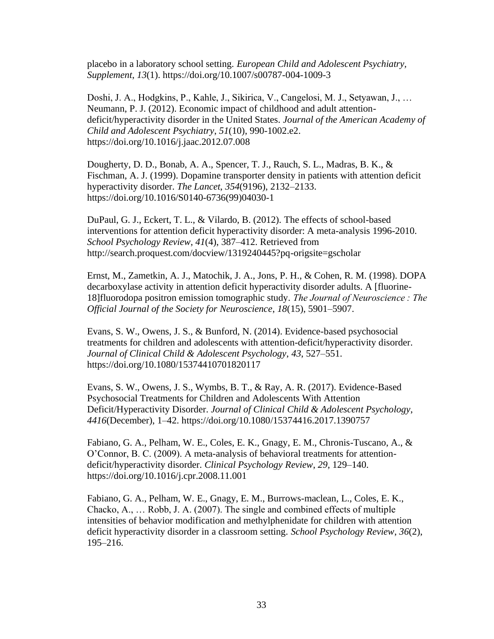placebo in a laboratory school setting. *European Child and Adolescent Psychiatry, Supplement*, *13*(1). https://doi.org/10.1007/s00787-004-1009-3

Doshi, J. A., Hodgkins, P., Kahle, J., Sikirica, V., Cangelosi, M. J., Setyawan, J., … Neumann, P. J. (2012). Economic impact of childhood and adult attentiondeficit/hyperactivity disorder in the United States. *Journal of the American Academy of Child and Adolescent Psychiatry*, *51*(10), 990-1002.e2. https://doi.org/10.1016/j.jaac.2012.07.008

Dougherty, D. D., Bonab, A. A., Spencer, T. J., Rauch, S. L., Madras, B. K., & Fischman, A. J. (1999). Dopamine transporter density in patients with attention deficit hyperactivity disorder. *The Lancet*, *354*(9196), 2132–2133. https://doi.org/10.1016/S0140-6736(99)04030-1

DuPaul, G. J., Eckert, T. L., & Vilardo, B. (2012). The effects of school-based interventions for attention deficit hyperactivity disorder: A meta-analysis 1996-2010. *School Psychology Review*, *41*(4), 387–412. Retrieved from http://search.proquest.com/docview/1319240445?pq-origsite=gscholar

Ernst, M., Zametkin, A. J., Matochik, J. A., Jons, P. H., & Cohen, R. M. (1998). DOPA decarboxylase activity in attention deficit hyperactivity disorder adults. A [fluorine-18]fluorodopa positron emission tomographic study. *The Journal of Neuroscience : The Official Journal of the Society for Neuroscience*, *18*(15), 5901–5907.

Evans, S. W., Owens, J. S., & Bunford, N. (2014). Evidence-based psychosocial treatments for children and adolescents with attention-deficit/hyperactivity disorder. *Journal of Clinical Child & Adolescent Psychology*, *43*, 527–551. https://doi.org/10.1080/15374410701820117

Evans, S. W., Owens, J. S., Wymbs, B. T., & Ray, A. R. (2017). Evidence-Based Psychosocial Treatments for Children and Adolescents With Attention Deficit/Hyperactivity Disorder. *Journal of Clinical Child & Adolescent Psychology*, *4416*(December), 1–42. https://doi.org/10.1080/15374416.2017.1390757

Fabiano, G. A., Pelham, W. E., Coles, E. K., Gnagy, E. M., Chronis-Tuscano, A., & O'Connor, B. C. (2009). A meta-analysis of behavioral treatments for attentiondeficit/hyperactivity disorder. *Clinical Psychology Review*, *29*, 129–140. https://doi.org/10.1016/j.cpr.2008.11.001

Fabiano, G. A., Pelham, W. E., Gnagy, E. M., Burrows-maclean, L., Coles, E. K., Chacko, A., … Robb, J. A. (2007). The single and combined effects of multiple intensities of behavior modification and methylphenidate for children with attention deficit hyperactivity disorder in a classroom setting. *School Psychology Review*, *36*(2), 195–216.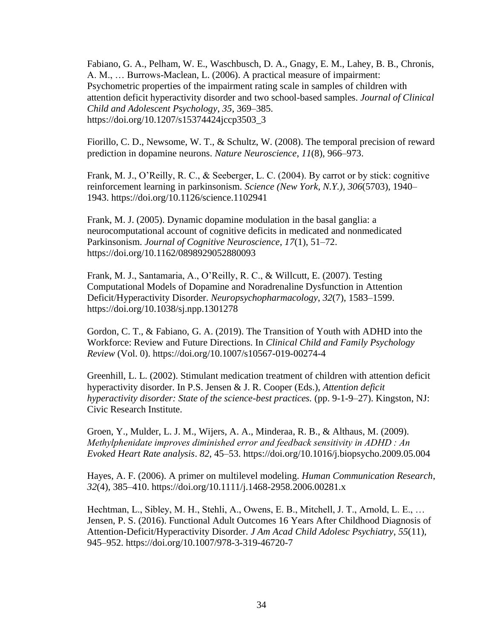Fabiano, G. A., Pelham, W. E., Waschbusch, D. A., Gnagy, E. M., Lahey, B. B., Chronis, A. M., … Burrows-Maclean, L. (2006). A practical measure of impairment: Psychometric properties of the impairment rating scale in samples of children with attention deficit hyperactivity disorder and two school-based samples. *Journal of Clinical Child and Adolescent Psychology*, *35*, 369–385. https://doi.org/10.1207/s15374424jccp3503\_3

Fiorillo, C. D., Newsome, W. T., & Schultz, W. (2008). The temporal precision of reward prediction in dopamine neurons. *Nature Neuroscience*, *11*(8), 966–973.

Frank, M. J., O'Reilly, R. C., & Seeberger, L. C. (2004). By carrot or by stick: cognitive reinforcement learning in parkinsonism. *Science (New York, N.Y.)*, *306*(5703), 1940– 1943. https://doi.org/10.1126/science.1102941

Frank, M. J. (2005). Dynamic dopamine modulation in the basal ganglia: a neurocomputational account of cognitive deficits in medicated and nonmedicated Parkinsonism. *Journal of Cognitive Neuroscience*, *17*(1), 51–72. https://doi.org/10.1162/0898929052880093

Frank, M. J., Santamaria, A., O'Reilly, R. C., & Willcutt, E. (2007). Testing Computational Models of Dopamine and Noradrenaline Dysfunction in Attention Deficit/Hyperactivity Disorder. *Neuropsychopharmacology*, *32*(7), 1583–1599. https://doi.org/10.1038/sj.npp.1301278

Gordon, C. T., & Fabiano, G. A. (2019). The Transition of Youth with ADHD into the Workforce: Review and Future Directions. In *Clinical Child and Family Psychology Review* (Vol. 0). https://doi.org/10.1007/s10567-019-00274-4

Greenhill, L. L. (2002). Stimulant medication treatment of children with attention deficit hyperactivity disorder. In P.S. Jensen & J. R. Cooper (Eds.), *Attention deficit hyperactivity disorder: State of the science-best practices.* (pp. 9-1-9–27). Kingston, NJ: Civic Research Institute.

Groen, Y., Mulder, L. J. M., Wijers, A. A., Minderaa, R. B., & Althaus, M. (2009). *Methylphenidate improves diminished error and feedback sensitivity in ADHD : An Evoked Heart Rate analysis*. *82*, 45–53. https://doi.org/10.1016/j.biopsycho.2009.05.004

Hayes, A. F. (2006). A primer on multilevel modeling. *Human Communication Research*, *32*(4), 385–410. https://doi.org/10.1111/j.1468-2958.2006.00281.x

Hechtman, L., Sibley, M. H., Stehli, A., Owens, E. B., Mitchell, J. T., Arnold, L. E., … Jensen, P. S. (2016). Functional Adult Outcomes 16 Years After Childhood Diagnosis of Attention-Deficit/Hyperactivity Disorder. *J Am Acad Child Adolesc Psychiatry*, *55*(11), 945–952. https://doi.org/10.1007/978-3-319-46720-7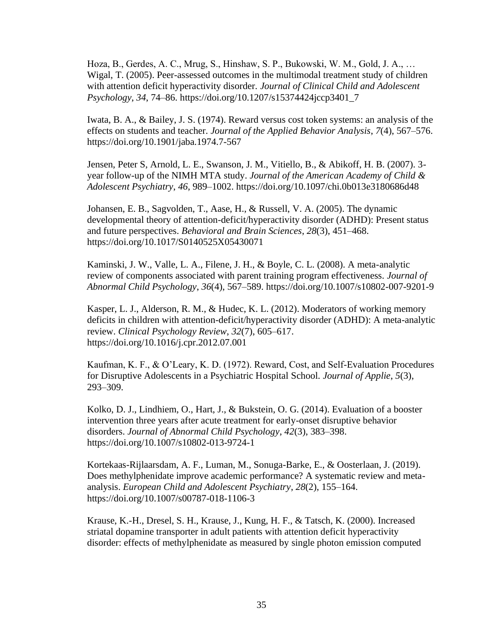Hoza, B., Gerdes, A. C., Mrug, S., Hinshaw, S. P., Bukowski, W. M., Gold, J. A., … Wigal, T. (2005). Peer-assessed outcomes in the multimodal treatment study of children with attention deficit hyperactivity disorder. *Journal of Clinical Child and Adolescent Psychology*, *34*, 74–86. https://doi.org/10.1207/s15374424jccp3401\_7

Iwata, B. A., & Bailey, J. S. (1974). Reward versus cost token systems: an analysis of the effects on students and teacher. *Journal of the Applied Behavior Analysis*, *7*(4), 567–576. https://doi.org/10.1901/jaba.1974.7-567

Jensen, Peter S, Arnold, L. E., Swanson, J. M., Vitiello, B., & Abikoff, H. B. (2007). 3 year follow-up of the NIMH MTA study. *Journal of the American Academy of Child & Adolescent Psychiatry*, *46*, 989–1002. https://doi.org/10.1097/chi.0b013e3180686d48

Johansen, E. B., Sagvolden, T., Aase, H., & Russell, V. A. (2005). The dynamic developmental theory of attention-deficit/hyperactivity disorder (ADHD): Present status and future perspectives. *Behavioral and Brain Sciences*, *28*(3), 451–468. https://doi.org/10.1017/S0140525X05430071

Kaminski, J. W., Valle, L. A., Filene, J. H., & Boyle, C. L. (2008). A meta-analytic review of components associated with parent training program effectiveness. *Journal of Abnormal Child Psychology*, *36*(4), 567–589. https://doi.org/10.1007/s10802-007-9201-9

Kasper, L. J., Alderson, R. M., & Hudec, K. L. (2012). Moderators of working memory deficits in children with attention-deficit/hyperactivity disorder (ADHD): A meta-analytic review. *Clinical Psychology Review*, *32*(7), 605–617. https://doi.org/10.1016/j.cpr.2012.07.001

Kaufman, K. F., & O'Leary, K. D. (1972). Reward, Cost, and Self-Evaluation Procedures for Disruptive Adolescents in a Psychiatric Hospital School. *Journal of Applie*, *5*(3), 293–309.

Kolko, D. J., Lindhiem, O., Hart, J., & Bukstein, O. G. (2014). Evaluation of a booster intervention three years after acute treatment for early-onset disruptive behavior disorders. *Journal of Abnormal Child Psychology*, *42*(3), 383–398. https://doi.org/10.1007/s10802-013-9724-1

Kortekaas-Rijlaarsdam, A. F., Luman, M., Sonuga-Barke, E., & Oosterlaan, J. (2019). Does methylphenidate improve academic performance? A systematic review and metaanalysis. *European Child and Adolescent Psychiatry*, *28*(2), 155–164. https://doi.org/10.1007/s00787-018-1106-3

Krause, K.-H., Dresel, S. H., Krause, J., Kung, H. F., & Tatsch, K. (2000). Increased striatal dopamine transporter in adult patients with attention deficit hyperactivity disorder: effects of methylphenidate as measured by single photon emission computed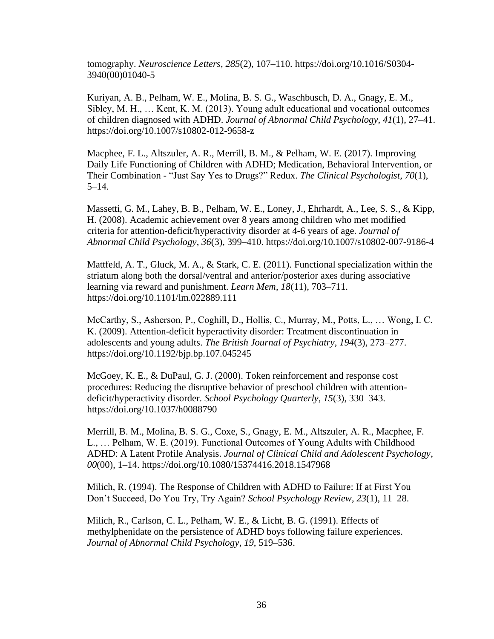tomography. *Neuroscience Letters*, *285*(2), 107–110. https://doi.org/10.1016/S0304- 3940(00)01040-5

Kuriyan, A. B., Pelham, W. E., Molina, B. S. G., Waschbusch, D. A., Gnagy, E. M., Sibley, M. H., … Kent, K. M. (2013). Young adult educational and vocational outcomes of children diagnosed with ADHD. *Journal of Abnormal Child Psychology*, *41*(1), 27–41. https://doi.org/10.1007/s10802-012-9658-z

Macphee, F. L., Altszuler, A. R., Merrill, B. M., & Pelham, W. E. (2017). Improving Daily Life Functioning of Children with ADHD; Medication, Behavioral Intervention, or Their Combination - "Just Say Yes to Drugs?" Redux. *The Clinical Psychologist*, *70*(1), 5–14.

Massetti, G. M., Lahey, B. B., Pelham, W. E., Loney, J., Ehrhardt, A., Lee, S. S., & Kipp, H. (2008). Academic achievement over 8 years among children who met modified criteria for attention-deficit/hyperactivity disorder at 4-6 years of age. *Journal of Abnormal Child Psychology*, *36*(3), 399–410. https://doi.org/10.1007/s10802-007-9186-4

Mattfeld, A. T., Gluck, M. A., & Stark, C. E. (2011). Functional specialization within the striatum along both the dorsal/ventral and anterior/posterior axes during associative learning via reward and punishment. *Learn Mem*, *18*(11), 703–711. https://doi.org/10.1101/lm.022889.111

McCarthy, S., Asherson, P., Coghill, D., Hollis, C., Murray, M., Potts, L., … Wong, I. C. K. (2009). Attention-deficit hyperactivity disorder: Treatment discontinuation in adolescents and young adults. *The British Journal of Psychiatry*, *194*(3), 273–277. https://doi.org/10.1192/bjp.bp.107.045245

McGoey, K. E., & DuPaul, G. J. (2000). Token reinforcement and response cost procedures: Reducing the disruptive behavior of preschool children with attentiondeficit/hyperactivity disorder. *School Psychology Quarterly*, *15*(3), 330–343. https://doi.org/10.1037/h0088790

Merrill, B. M., Molina, B. S. G., Coxe, S., Gnagy, E. M., Altszuler, A. R., Macphee, F. L., … Pelham, W. E. (2019). Functional Outcomes of Young Adults with Childhood ADHD: A Latent Profile Analysis. *Journal of Clinical Child and Adolescent Psychology*, *00*(00), 1–14. https://doi.org/10.1080/15374416.2018.1547968

Milich, R. (1994). The Response of Children with ADHD to Failure: If at First You Don't Succeed, Do You Try, Try Again? *School Psychology Review*, *23*(1), 11–28.

Milich, R., Carlson, C. L., Pelham, W. E., & Licht, B. G. (1991). Effects of methylphenidate on the persistence of ADHD boys following failure experiences. *Journal of Abnormal Child Psychology*, *19*, 519–536.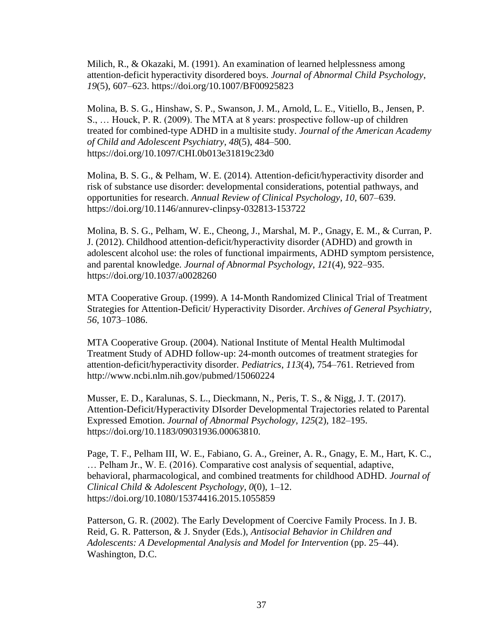Milich, R., & Okazaki, M. (1991). An examination of learned helplessness among attention-deficit hyperactivity disordered boys. *Journal of Abnormal Child Psychology*, *19*(5), 607–623. https://doi.org/10.1007/BF00925823

Molina, B. S. G., Hinshaw, S. P., Swanson, J. M., Arnold, L. E., Vitiello, B., Jensen, P. S., … Houck, P. R. (2009). The MTA at 8 years: prospective follow-up of children treated for combined-type ADHD in a multisite study. *Journal of the American Academy of Child and Adolescent Psychiatry*, *48*(5), 484–500. https://doi.org/10.1097/CHI.0b013e31819c23d0

Molina, B. S. G., & Pelham, W. E. (2014). Attention-deficit/hyperactivity disorder and risk of substance use disorder: developmental considerations, potential pathways, and opportunities for research. *Annual Review of Clinical Psychology*, *10*, 607–639. https://doi.org/10.1146/annurev-clinpsy-032813-153722

Molina, B. S. G., Pelham, W. E., Cheong, J., Marshal, M. P., Gnagy, E. M., & Curran, P. J. (2012). Childhood attention-deficit/hyperactivity disorder (ADHD) and growth in adolescent alcohol use: the roles of functional impairments, ADHD symptom persistence, and parental knowledge. *Journal of Abnormal Psychology*, *121*(4), 922–935. https://doi.org/10.1037/a0028260

MTA Cooperative Group. (1999). A 14-Month Randomized Clinical Trial of Treatment Strategies for Attention-Deficit/ Hyperactivity Disorder. *Archives of General Psychiatry*, *56*, 1073–1086.

MTA Cooperative Group. (2004). National Institute of Mental Health Multimodal Treatment Study of ADHD follow-up: 24-month outcomes of treatment strategies for attention-deficit/hyperactivity disorder. *Pediatrics*, *113*(4), 754–761. Retrieved from http://www.ncbi.nlm.nih.gov/pubmed/15060224

Musser, E. D., Karalunas, S. L., Dieckmann, N., Peris, T. S., & Nigg, J. T. (2017). Attention-Deficit/Hyperactivity DIsorder Developmental Trajectories related to Parental Expressed Emotion. *Journal of Abnormal Psychology*, *125*(2), 182–195. https://doi.org/10.1183/09031936.00063810.

Page, T. F., Pelham III, W. E., Fabiano, G. A., Greiner, A. R., Gnagy, E. M., Hart, K. C., … Pelham Jr., W. E. (2016). Comparative cost analysis of sequential, adaptive, behavioral, pharmacological, and combined treatments for childhood ADHD. *Journal of Clinical Child & Adolescent Psychology*, *0*(0), 1–12. https://doi.org/10.1080/15374416.2015.1055859

Patterson, G. R. (2002). The Early Development of Coercive Family Process. In J. B. Reid, G. R. Patterson, & J. Snyder (Eds.), *Antisocial Behavior in Children and Adolescents: A Developmental Analysis and Model for Intervention* (pp. 25–44). Washington, D.C.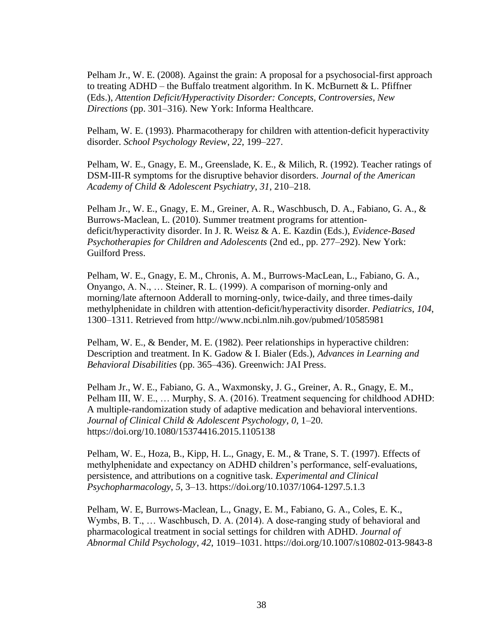Pelham Jr., W. E. (2008). Against the grain: A proposal for a psychosocial-first approach to treating ADHD – the Buffalo treatment algorithm. In K. McBurnett & L. Pfiffner (Eds.), *Attention Deficit/Hyperactivity Disorder: Concepts, Controversies, New Directions* (pp. 301–316). New York: Informa Healthcare.

Pelham, W. E. (1993). Pharmacotherapy for children with attention-deficit hyperactivity disorder. *School Psychology Review*, *22*, 199–227.

Pelham, W. E., Gnagy, E. M., Greenslade, K. E., & Milich, R. (1992). Teacher ratings of DSM-III-R symptoms for the disruptive behavior disorders. *Journal of the American Academy of Child & Adolescent Psychiatry*, *31*, 210–218.

Pelham Jr., W. E., Gnagy, E. M., Greiner, A. R., Waschbusch, D. A., Fabiano, G. A., & Burrows-Maclean, L. (2010). Summer treatment programs for attentiondeficit/hyperactivity disorder. In J. R. Weisz & A. E. Kazdin (Eds.), *Evidence-Based Psychotherapies for Children and Adolescents* (2nd ed., pp. 277–292). New York: Guilford Press.

Pelham, W. E., Gnagy, E. M., Chronis, A. M., Burrows-MacLean, L., Fabiano, G. A., Onyango, A. N., … Steiner, R. L. (1999). A comparison of morning-only and morning/late afternoon Adderall to morning-only, twice-daily, and three times-daily methylphenidate in children with attention-deficit/hyperactivity disorder. *Pediatrics*, *104*, 1300–1311. Retrieved from http://www.ncbi.nlm.nih.gov/pubmed/10585981

Pelham, W. E., & Bender, M. E. (1982). Peer relationships in hyperactive children: Description and treatment. In K. Gadow & I. Bialer (Eds.), *Advances in Learning and Behavioral Disabilities* (pp. 365–436). Greenwich: JAI Press.

Pelham Jr., W. E., Fabiano, G. A., Waxmonsky, J. G., Greiner, A. R., Gnagy, E. M., Pelham III, W. E., … Murphy, S. A. (2016). Treatment sequencing for childhood ADHD: A multiple-randomization study of adaptive medication and behavioral interventions. *Journal of Clinical Child & Adolescent Psychology*, *0*, 1–20. https://doi.org/10.1080/15374416.2015.1105138

Pelham, W. E., Hoza, B., Kipp, H. L., Gnagy, E. M., & Trane, S. T. (1997). Effects of methylphenidate and expectancy on ADHD children's performance, self-evaluations, persistence, and attributions on a cognitive task. *Experimental and Clinical Psychopharmacology*, *5*, 3–13. https://doi.org/10.1037/1064-1297.5.1.3

Pelham, W. E, Burrows-Maclean, L., Gnagy, E. M., Fabiano, G. A., Coles, E. K., Wymbs, B. T., ... Waschbusch, D. A. (2014). A dose-ranging study of behavioral and pharmacological treatment in social settings for children with ADHD. *Journal of Abnormal Child Psychology*, *42*, 1019–1031. https://doi.org/10.1007/s10802-013-9843-8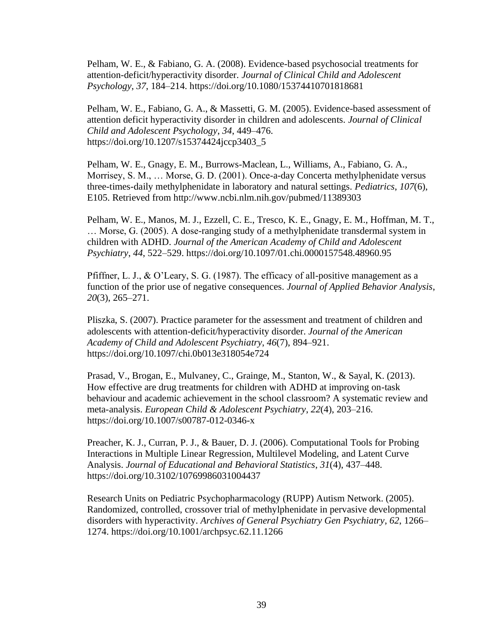Pelham, W. E., & Fabiano, G. A. (2008). Evidence-based psychosocial treatments for attention-deficit/hyperactivity disorder. *Journal of Clinical Child and Adolescent Psychology*, *37*, 184–214. https://doi.org/10.1080/15374410701818681

Pelham, W. E., Fabiano, G. A., & Massetti, G. M. (2005). Evidence-based assessment of attention deficit hyperactivity disorder in children and adolescents. *Journal of Clinical Child and Adolescent Psychology*, *34*, 449–476. https://doi.org/10.1207/s15374424jccp3403\_5

Pelham, W. E., Gnagy, E. M., Burrows-Maclean, L., Williams, A., Fabiano, G. A., Morrisey, S. M., … Morse, G. D. (2001). Once-a-day Concerta methylphenidate versus three-times-daily methylphenidate in laboratory and natural settings. *Pediatrics*, *107*(6), E105. Retrieved from http://www.ncbi.nlm.nih.gov/pubmed/11389303

Pelham, W. E., Manos, M. J., Ezzell, C. E., Tresco, K. E., Gnagy, E. M., Hoffman, M. T., … Morse, G. (2005). A dose-ranging study of a methylphenidate transdermal system in children with ADHD. *Journal of the American Academy of Child and Adolescent Psychiatry*, *44*, 522–529. https://doi.org/10.1097/01.chi.0000157548.48960.95

Pfiffner, L. J., & O'Leary, S. G. (1987). The efficacy of all-positive management as a function of the prior use of negative consequences. *Journal of Applied Behavior Analysis*, *20*(3), 265–271.

Pliszka, S. (2007). Practice parameter for the assessment and treatment of children and adolescents with attention-deficit/hyperactivity disorder. *Journal of the American Academy of Child and Adolescent Psychiatry*, *46*(7), 894–921. https://doi.org/10.1097/chi.0b013e318054e724

Prasad, V., Brogan, E., Mulvaney, C., Grainge, M., Stanton, W., & Sayal, K. (2013). How effective are drug treatments for children with ADHD at improving on-task behaviour and academic achievement in the school classroom? A systematic review and meta-analysis. *European Child & Adolescent Psychiatry*, *22*(4), 203–216. https://doi.org/10.1007/s00787-012-0346-x

Preacher, K. J., Curran, P. J., & Bauer, D. J. (2006). Computational Tools for Probing Interactions in Multiple Linear Regression, Multilevel Modeling, and Latent Curve Analysis. *Journal of Educational and Behavioral Statistics*, *31*(4), 437–448. https://doi.org/10.3102/10769986031004437

Research Units on Pediatric Psychopharmacology (RUPP) Autism Network. (2005). Randomized, controlled, crossover trial of methylphenidate in pervasive developmental disorders with hyperactivity. *Archives of General Psychiatry Gen Psychiatry*, *62*, 1266– 1274. https://doi.org/10.1001/archpsyc.62.11.1266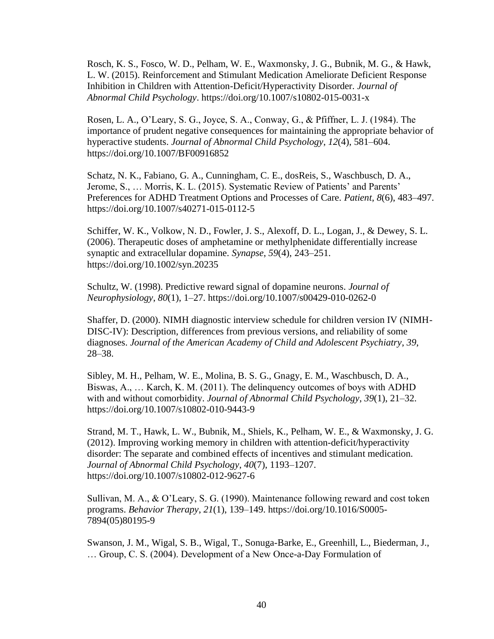Rosch, K. S., Fosco, W. D., Pelham, W. E., Waxmonsky, J. G., Bubnik, M. G., & Hawk, L. W. (2015). Reinforcement and Stimulant Medication Ameliorate Deficient Response Inhibition in Children with Attention-Deficit/Hyperactivity Disorder. *Journal of Abnormal Child Psychology*. https://doi.org/10.1007/s10802-015-0031-x

Rosen, L. A., O'Leary, S. G., Joyce, S. A., Conway, G., & Pfiffner, L. J. (1984). The importance of prudent negative consequences for maintaining the appropriate behavior of hyperactive students. *Journal of Abnormal Child Psychology*, *12*(4), 581–604. https://doi.org/10.1007/BF00916852

Schatz, N. K., Fabiano, G. A., Cunningham, C. E., dosReis, S., Waschbusch, D. A., Jerome, S., … Morris, K. L. (2015). Systematic Review of Patients' and Parents' Preferences for ADHD Treatment Options and Processes of Care. *Patient*, *8*(6), 483–497. https://doi.org/10.1007/s40271-015-0112-5

Schiffer, W. K., Volkow, N. D., Fowler, J. S., Alexoff, D. L., Logan, J., & Dewey, S. L. (2006). Therapeutic doses of amphetamine or methylphenidate differentially increase synaptic and extracellular dopamine. *Synapse*, *59*(4), 243–251. https://doi.org/10.1002/syn.20235

Schultz, W. (1998). Predictive reward signal of dopamine neurons. *Journal of Neurophysiology*, *80*(1), 1–27. https://doi.org/10.1007/s00429-010-0262-0

Shaffer, D. (2000). NIMH diagnostic interview schedule for children version IV (NIMH-DISC-IV): Description, differences from previous versions, and reliability of some diagnoses. *Journal of the American Academy of Child and Adolescent Psychiatry*, *39*, 28–38.

Sibley, M. H., Pelham, W. E., Molina, B. S. G., Gnagy, E. M., Waschbusch, D. A., Biswas, A., … Karch, K. M. (2011). The delinquency outcomes of boys with ADHD with and without comorbidity. *Journal of Abnormal Child Psychology*, *39*(1), 21–32. https://doi.org/10.1007/s10802-010-9443-9

Strand, M. T., Hawk, L. W., Bubnik, M., Shiels, K., Pelham, W. E., & Waxmonsky, J. G. (2012). Improving working memory in children with attention-deficit/hyperactivity disorder: The separate and combined effects of incentives and stimulant medication. *Journal of Abnormal Child Psychology*, *40*(7), 1193–1207. https://doi.org/10.1007/s10802-012-9627-6

Sullivan, M. A., & O'Leary, S. G. (1990). Maintenance following reward and cost token programs. *Behavior Therapy*, *21*(1), 139–149. https://doi.org/10.1016/S0005- 7894(05)80195-9

Swanson, J. M., Wigal, S. B., Wigal, T., Sonuga-Barke, E., Greenhill, L., Biederman, J., … Group, C. S. (2004). Development of a New Once-a-Day Formulation of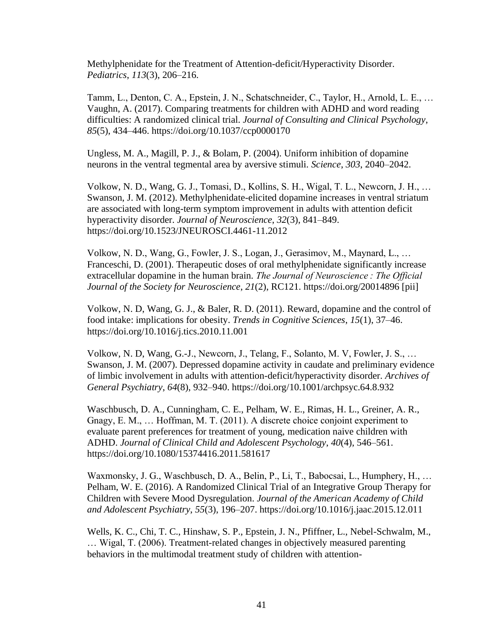Methylphenidate for the Treatment of Attention-deficit/Hyperactivity Disorder. *Pediatrics*, *113*(3), 206–216.

Tamm, L., Denton, C. A., Epstein, J. N., Schatschneider, C., Taylor, H., Arnold, L. E., … Vaughn, A. (2017). Comparing treatments for children with ADHD and word reading difficulties: A randomized clinical trial. *Journal of Consulting and Clinical Psychology*, *85*(5), 434–446. https://doi.org/10.1037/ccp0000170

Ungless, M. A., Magill, P. J., & Bolam, P. (2004). Uniform inhibition of dopamine neurons in the ventral tegmental area by aversive stimuli. *Science*, *303*, 2040–2042.

Volkow, N. D., Wang, G. J., Tomasi, D., Kollins, S. H., Wigal, T. L., Newcorn, J. H., … Swanson, J. M. (2012). Methylphenidate-elicited dopamine increases in ventral striatum are associated with long-term symptom improvement in adults with attention deficit hyperactivity disorder. *Journal of Neuroscience*, *32*(3), 841–849. https://doi.org/10.1523/JNEUROSCI.4461-11.2012

Volkow, N. D., Wang, G., Fowler, J. S., Logan, J., Gerasimov, M., Maynard, L., … Franceschi, D. (2001). Therapeutic doses of oral methylphenidate significantly increase extracellular dopamine in the human brain. *The Journal of Neuroscience : The Official Journal of the Society for Neuroscience*, *21*(2), RC121. https://doi.org/20014896 [pii]

Volkow, N. D, Wang, G. J., & Baler, R. D. (2011). Reward, dopamine and the control of food intake: implications for obesity. *Trends in Cognitive Sciences*, *15*(1), 37–46. https://doi.org/10.1016/j.tics.2010.11.001

Volkow, N. D, Wang, G.-J., Newcorn, J., Telang, F., Solanto, M. V, Fowler, J. S., … Swanson, J. M. (2007). Depressed dopamine activity in caudate and preliminary evidence of limbic involvement in adults with attention-deficit/hyperactivity disorder. *Archives of General Psychiatry*, *64*(8), 932–940. https://doi.org/10.1001/archpsyc.64.8.932

Waschbusch, D. A., Cunningham, C. E., Pelham, W. E., Rimas, H. L., Greiner, A. R., Gnagy, E. M., … Hoffman, M. T. (2011). A discrete choice conjoint experiment to evaluate parent preferences for treatment of young, medication naive children with ADHD. *Journal of Clinical Child and Adolescent Psychology*, *40*(4), 546–561. https://doi.org/10.1080/15374416.2011.581617

Waxmonsky, J. G., Waschbusch, D. A., Belin, P., Li, T., Babocsai, L., Humphery, H., … Pelham, W. E. (2016). A Randomized Clinical Trial of an Integrative Group Therapy for Children with Severe Mood Dysregulation. *Journal of the American Academy of Child and Adolescent Psychiatry*, *55*(3), 196–207. https://doi.org/10.1016/j.jaac.2015.12.011

Wells, K. C., Chi, T. C., Hinshaw, S. P., Epstein, J. N., Pfiffner, L., Nebel-Schwalm, M., … Wigal, T. (2006). Treatment-related changes in objectively measured parenting behaviors in the multimodal treatment study of children with attention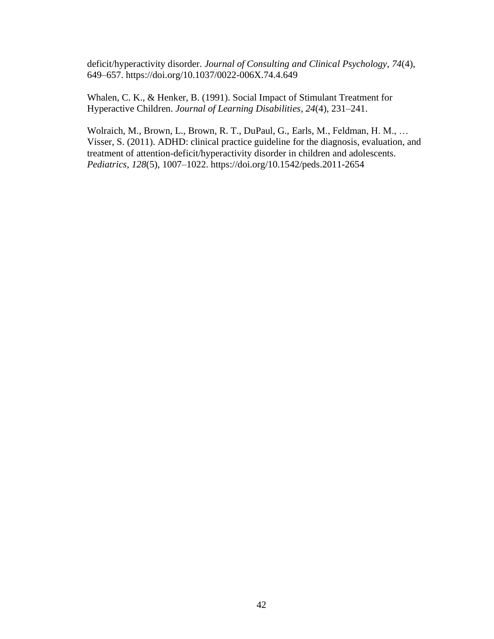deficit/hyperactivity disorder. *Journal of Consulting and Clinical Psychology*, *74*(4), 649–657. https://doi.org/10.1037/0022-006X.74.4.649

Whalen, C. K., & Henker, B. (1991). Social Impact of Stimulant Treatment for Hyperactive Children. *Journal of Learning Disabilities*, *24*(4), 231–241.

Wolraich, M., Brown, L., Brown, R. T., DuPaul, G., Earls, M., Feldman, H. M., … Visser, S. (2011). ADHD: clinical practice guideline for the diagnosis, evaluation, and treatment of attention-deficit/hyperactivity disorder in children and adolescents. *Pediatrics*, *128*(5), 1007–1022. https://doi.org/10.1542/peds.2011-2654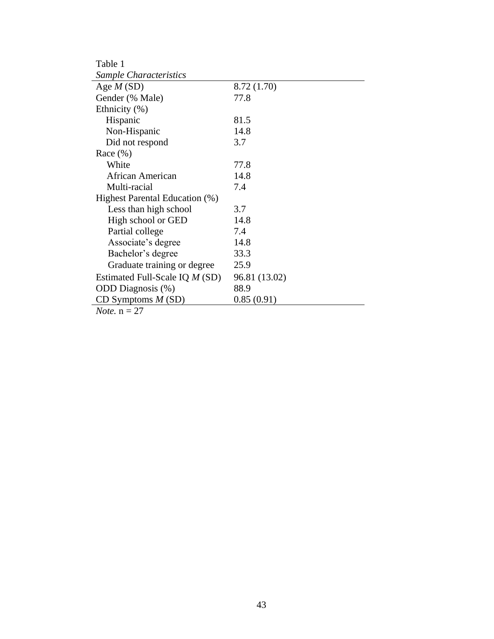| Table 1                                                                    |               |
|----------------------------------------------------------------------------|---------------|
| Sample Characteristics                                                     |               |
| Age $M(SD)$                                                                | 8.72 (1.70)   |
| Gender (% Male)                                                            | 77.8          |
| Ethnicity $(\%)$                                                           |               |
| Hispanic                                                                   | 81.5          |
| Non-Hispanic                                                               | 14.8          |
| Did not respond                                                            | 3.7           |
| Race $(\% )$                                                               |               |
| White                                                                      | 77.8          |
| African American                                                           | 14.8          |
| Multi-racial                                                               | 7.4           |
| Highest Parental Education (%)                                             |               |
| Less than high school                                                      | 3.7           |
| High school or GED                                                         | 14.8          |
| Partial college                                                            | 7.4           |
| Associate's degree                                                         | 14.8          |
| Bachelor's degree                                                          | 33.3          |
| Graduate training or degree                                                | 25.9          |
| Estimated Full-Scale IQ <i>M</i> (SD)                                      | 96.81 (13.02) |
| <b>ODD</b> Diagnosis (%)                                                   | 88.9          |
| CD Symptoms $M(SD)$                                                        | 0.85(0.91)    |
| דר<br>$\mathbf{A} \mathbf{I}$ = $\mathbf{A}$ = $\mathbf{I}$ = $\mathbf{A}$ |               |

*Note.*  $n = 27$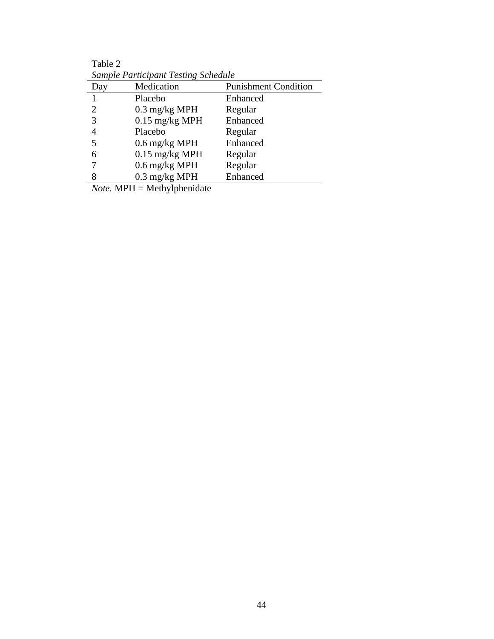| Sample Participant Testing Schedule |                         |                             |
|-------------------------------------|-------------------------|-----------------------------|
| Day                                 | Medication              | <b>Punishment Condition</b> |
|                                     | Placebo                 | Enhanced                    |
| 2                                   | $0.3 \text{ mg/kg MPH}$ | Regular                     |
| 3                                   | $0.15$ mg/kg MPH        | Enhanced                    |
| 4                                   | Placebo                 | Regular                     |
| 5                                   | $0.6$ mg/kg MPH         | Enhanced                    |
| 6                                   | $0.15$ mg/kg MPH        | Regular                     |
|                                     | $0.6$ mg/kg MPH         | Regular                     |
| 8                                   | $0.3 \text{ mg/kg MPH}$ | Enhanced                    |

Table 2 *Sample Participant Testing Schedule*

*Note.* MPH = Methylphenidate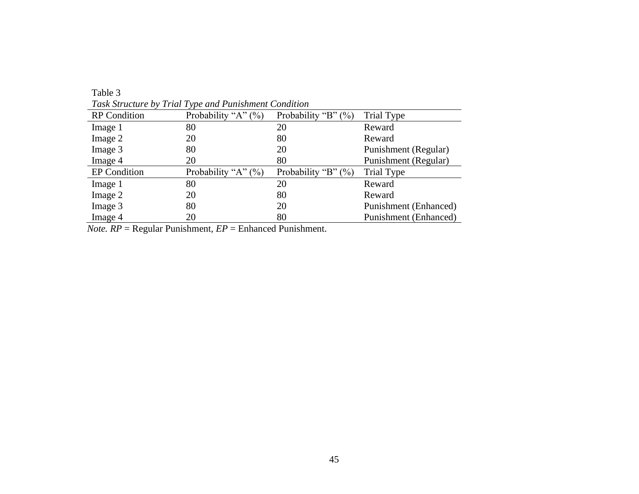|                     | Task Structure by Trial Type and Punishment Condition |                        |                              |
|---------------------|-------------------------------------------------------|------------------------|------------------------------|
| <b>RP</b> Condition | Probability "A" $(\%)$                                | Probability "B" $(\%)$ | Trial Type                   |
| Image 1             | 80                                                    | 20                     | Reward                       |
| Image 2             | 20                                                    | 80                     | Reward                       |
| Image 3             | 80                                                    | 20                     | Punishment (Regular)         |
| Image 4             | 20                                                    | 80                     | Punishment (Regular)         |
| <b>EP</b> Condition | Probability "A" $(\%)$                                | Probability "B" $(\%)$ | Trial Type                   |
| Image 1             | 80                                                    | 20                     | Reward                       |
| Image 2             | 20                                                    | 80                     | Reward                       |
| Image 3             | 80                                                    | 20                     | <b>Punishment</b> (Enhanced) |
| Image 4             | 20                                                    | 80                     | <b>Punishment</b> (Enhanced) |

*Task Structure by Trial Type and Punishment Condition*

Table 3

*Note. RP* = Regular Punishment*, EP* = Enhanced Punishment.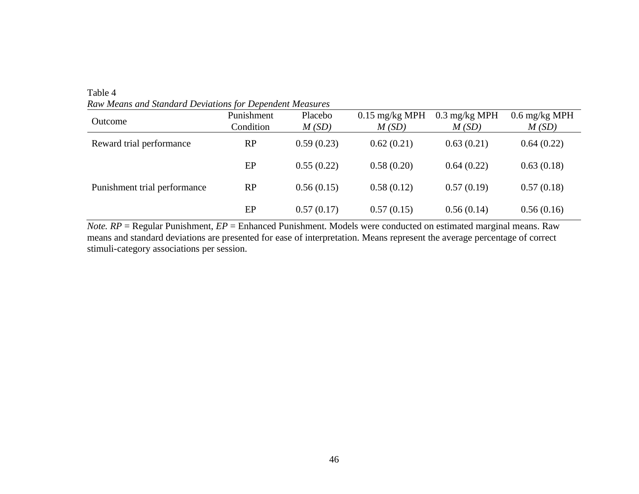Table 4 *Raw Means and Standard Deviations for Dependent Measures*

| Outcome                      | Punishment<br>Condition | Placebo<br>M(SD) | $0.15$ mg/kg MPH<br>M(SD) | $0.3 \text{ mg/kg MPH}$<br>M(SD) | $0.6 \text{ mg/kg MPH}$<br>M(SD) |
|------------------------------|-------------------------|------------------|---------------------------|----------------------------------|----------------------------------|
| Reward trial performance     | RP                      | 0.59(0.23)       | 0.62(0.21)                | 0.63(0.21)                       | 0.64(0.22)                       |
|                              | EP                      | 0.55(0.22)       | 0.58(0.20)                | 0.64(0.22)                       | 0.63(0.18)                       |
| Punishment trial performance | RP                      | 0.56(0.15)       | 0.58(0.12)                | 0.57(0.19)                       | 0.57(0.18)                       |
|                              | EP                      | 0.57(0.17)       | 0.57(0.15)                | 0.56(0.14)                       | 0.56(0.16)                       |

*Note. RP* = Regular Punishment, *EP* = Enhanced Punishment. Models were conducted on estimated marginal means. Raw means and standard deviations are presented for ease of interpretation. Means represent the average percentage of correct stimuli-category associations per session.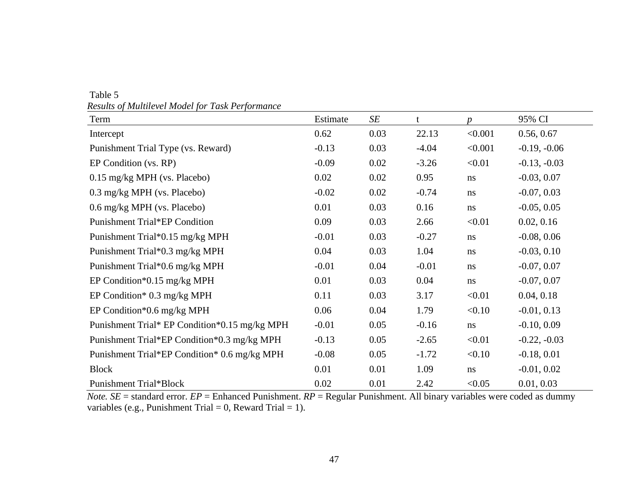| Term                                          | Estimate | SE   | t       | $\boldsymbol{p}$ | 95% CI         |
|-----------------------------------------------|----------|------|---------|------------------|----------------|
| Intercept                                     | 0.62     | 0.03 | 22.13   | < 0.001          | 0.56, 0.67     |
| Punishment Trial Type (vs. Reward)            | $-0.13$  | 0.03 | $-4.04$ | < 0.001          | $-0.19, -0.06$ |
| EP Condition (vs. RP)                         | $-0.09$  | 0.02 | $-3.26$ | < 0.01           | $-0.13, -0.03$ |
| 0.15 mg/kg MPH (vs. Placebo)                  | 0.02     | 0.02 | 0.95    | ns               | $-0.03, 0.07$  |
| 0.3 mg/kg MPH (vs. Placebo)                   | $-0.02$  | 0.02 | $-0.74$ | ns               | $-0.07, 0.03$  |
| 0.6 mg/kg MPH (vs. Placebo)                   | 0.01     | 0.03 | 0.16    | ns               | $-0.05, 0.05$  |
| Punishment Trial*EP Condition                 | 0.09     | 0.03 | 2.66    | < 0.01           | 0.02, 0.16     |
| Punishment Trial*0.15 mg/kg MPH               | $-0.01$  | 0.03 | $-0.27$ | ns               | $-0.08, 0.06$  |
| Punishment Trial*0.3 mg/kg MPH                | 0.04     | 0.03 | 1.04    | ns               | $-0.03, 0.10$  |
| Punishment Trial*0.6 mg/kg MPH                | $-0.01$  | 0.04 | $-0.01$ | ns               | $-0.07, 0.07$  |
| EP Condition* $0.15$ mg/kg MPH                | 0.01     | 0.03 | 0.04    | ns               | $-0.07, 0.07$  |
| EP Condition* $0.3 \text{ mg/kg MPH}$         | 0.11     | 0.03 | 3.17    | < 0.01           | 0.04, 0.18     |
| EP Condition* $0.6$ mg/kg MPH                 | 0.06     | 0.04 | 1.79    | < 0.10           | $-0.01, 0.13$  |
| Punishment Trial* EP Condition*0.15 mg/kg MPH | $-0.01$  | 0.05 | $-0.16$ | ns               | $-0.10, 0.09$  |
| Punishment Trial*EP Condition*0.3 mg/kg MPH   | $-0.13$  | 0.05 | $-2.65$ | < 0.01           | $-0.22, -0.03$ |
| Punishment Trial*EP Condition* 0.6 mg/kg MPH  | $-0.08$  | 0.05 | $-1.72$ | < 0.10           | $-0.18, 0.01$  |
| <b>Block</b>                                  | 0.01     | 0.01 | 1.09    | ns               | $-0.01, 0.02$  |
| <b>Punishment Trial*Block</b>                 | 0.02     | 0.01 | 2.42    | < 0.05           | 0.01, 0.03     |

Table 5 *Results of Multilevel Model for Task Performance*

*Note. SE* = standard error. *EP* = Enhanced Punishment. *RP* = Regular Punishment. All binary variables were coded as dummy variables (e.g., Punishment Trial = 0, Reward Trial = 1).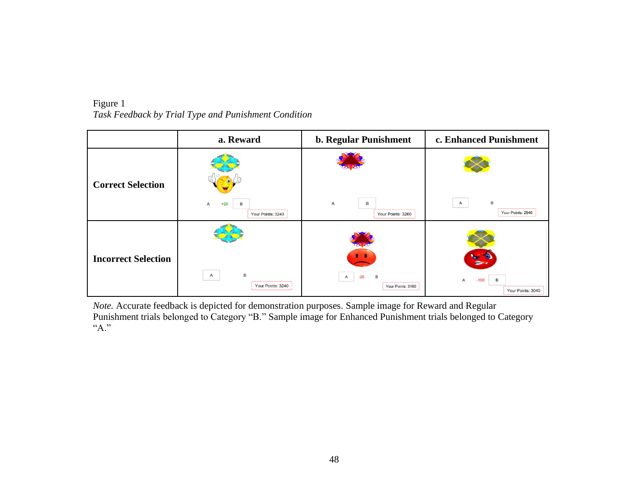|                            | a. Reward                                | b. Regular Punishment                           | c. Enhanced Punishment                                 |
|----------------------------|------------------------------------------|-------------------------------------------------|--------------------------------------------------------|
| <b>Correct Selection</b>   | $+20$<br>B<br>A<br>Your Points: 3240     | Α<br>B<br>Your Points: 3260                     | B<br>A<br>Your Points: 2940                            |
| <b>Incorrect Selection</b> | B<br>$\overline{A}$<br>Your Points: 3240 | $-20$<br>$\mathsf{A}$<br>B<br>Your Points: 3160 | <b>Target</b><br>B<br>$-100$<br>А<br>Your Points: 3040 |

Figure 1 *Task Feedback by Trial Type and Punishment Condition* 

*Note.* Accurate feedback is depicted for demonstration purposes. Sample image for Reward and Regular Punishment trials belonged to Category "B." Sample image for Enhanced Punishment trials belonged to Category "A."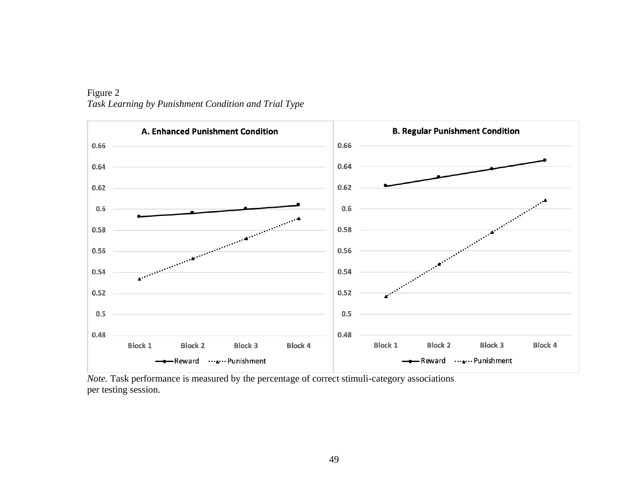

# Figure 2 *Task Learning by Punishment Condition and Trial Type*

*Note.* Task performance is measured by the percentage of correct stimuli-category associations per testing session.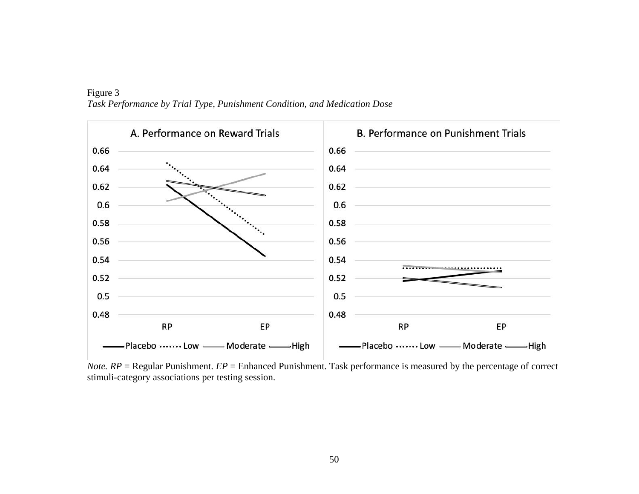![](_page_57_Figure_0.jpeg)

Figure 3 *Task Performance by Trial Type, Punishment Condition, and Medication Dose* 

*Note. RP* = Regular Punishment. *EP* = Enhanced Punishment. Task performance is measured by the percentage of correct stimuli-category associations per testing session.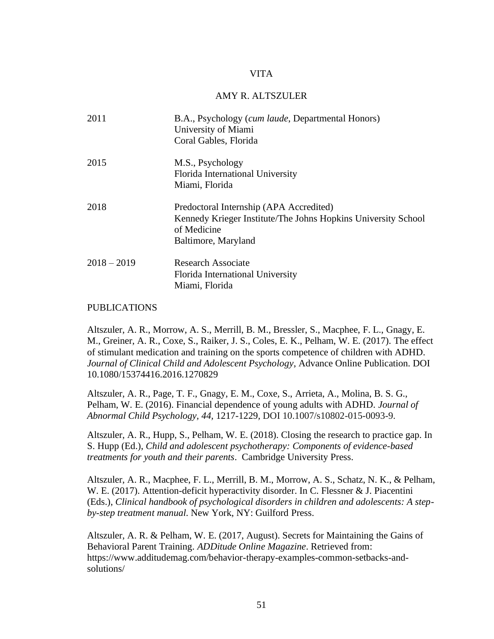# VITA

#### AMY R. ALTSZULER

<span id="page-58-0"></span>

| 2011          | B.A., Psychology (cum laude, Departmental Honors)<br>University of Miami<br>Coral Gables, Florida                                              |
|---------------|------------------------------------------------------------------------------------------------------------------------------------------------|
| 2015          | M.S., Psychology<br>Florida International University<br>Miami, Florida                                                                         |
| 2018          | Predoctoral Internship (APA Accredited)<br>Kennedy Krieger Institute/The Johns Hopkins University School<br>of Medicine<br>Baltimore, Maryland |
| $2018 - 2019$ | <b>Research Associate</b><br>Florida International University<br>Miami, Florida                                                                |

# PUBLICATIONS

Altszuler, A. R., Morrow, A. S., Merrill, B. M., Bressler, S., Macphee, F. L., Gnagy, E. M., Greiner, A. R., Coxe, S., Raiker, J. S., Coles, E. K., Pelham, W. E. (2017). The effect of stimulant medication and training on the sports competence of children with ADHD. *Journal of Clinical Child and Adolescent Psychology*, Advance Online Publication. DOI 10.1080/15374416.2016.1270829

Altszuler, A. R., Page, T. F., Gnagy, E. M., Coxe, S., Arrieta, A., Molina, B. S. G., Pelham, W. E. (2016). Financial dependence of young adults with ADHD. *Journal of Abnormal Child Psychology, 44,* 1217-1229*,* DOI 10.1007/s10802-015-0093-9.

Altszuler, A. R., Hupp, S., Pelham, W. E. (2018). Closing the research to practice gap. In S. Hupp (Ed.), *Child and adolescent psychotherapy: Components of evidence-based treatments for youth and their parents*. Cambridge University Press.

Altszuler, A. R., Macphee, F. L., Merrill, B. M., Morrow, A. S., Schatz, N. K., & Pelham, W. E. (2017). Attention-deficit hyperactivity disorder. In C. Flessner & J. Piacentini (Eds.), *Clinical handbook of psychological disorders in children and adolescents: A stepby-step treatment manual*. New York, NY: Guilford Press.

Altszuler, A. R. & Pelham, W. E. (2017, August). Secrets for Maintaining the Gains of Behavioral Parent Training. *ADDitude Online Magazine*. Retrieved from: https://www.additudemag.com/behavior-therapy-examples-common-setbacks-andsolutions/